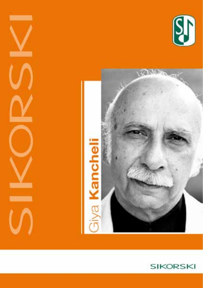





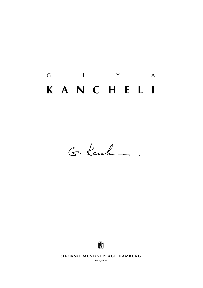# $G$  i  $Y$  A **k a n c h e l i**

G. Kanche



**SIKORSKI MUSIKVERLAGE HAMBURG** 

**sik 4/5626**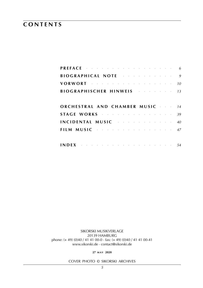### **c o n t e n t s**

|  |  |  | <b>PREFACE</b> $\cdots$ $\cdots$ $\cdots$ $\cdots$ $\cdots$ $\cdots$ $\cdots$ $\cdots$ $\cdots$ 6<br>BIOGRAPHICAL NOTE And the service of the service of the service of the service of the service of the service o<br>VORWORT <b>CONSUMING THE CONSUMING STATE OF THE SET OF THE STATE OF THE STATE OF THE STATE OF THE STATE OF THE STATE OF THE STATE OF THE STATE OF THE STATE OF THE STATE OF THE STATE OF THE STATE OF THE STATE OF THE STATE OF </b><br><b>BIOGRAPHISCHER HINWEIS</b> 13<br>ORCHESTRAL AND CHAMBER MUSIC 44<br>STAGE WORKS and the service of the state of 39<br>INCIDENTAL MUSIC <b>And All Automobile ACCESS</b><br>FILM MUSIC $\cdots$ and $\cdots$ are $\cdots$ and $\cdots$ and $\cdots$ |
|--|--|--|----------------------------------------------------------------------------------------------------------------------------------------------------------------------------------------------------------------------------------------------------------------------------------------------------------------------------------------------------------------------------------------------------------------------------------------------------------------------------------------------------------------------------------------------------------------------------------------------------------------------------------------------------------------------------------------------------------------------|

sikorski Musikverlage 20139 hamburg phone: (+ 49) (0)40 / 41 41 00-0 · fax: (+ 49) (0)40 / 41 41 00-41 www.sikorski.de · contact@sikorski.de

**27 m a y 2020**

cover photo © sikorski archives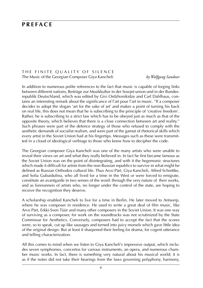### **p r e f a c e**

#### THE FINITE QUALITY OF SILENCE The Music of the Georgian Composer Giya Kancheli *by Wolfgang Sandner*

In addition to numerous polite references to the fact that music is capable of forging links between different nations, Beiträge zur Musikkultur in der Sowjet-union und in der Bundesrepublik Deutschland, which was edited by Givi Ordzhonikidze and Carl Dahlhaus, contains an interesting remark about the significance of l'art pour l'art in music. "If a composer decides to adopt the slogan 'art for the sake of art' and makes a point of turning his back on real life, this does not mean that he is subscribing to the principle of 'creative freedom'. Rather, he is subscribing to a strict law which has to be obeyed just as much as that of the opposite theory, which believes that there is a close connection between art and reality." Such phrases were part of the defence strategy of those who refused to comply with the aesthetic demands of socialist realism, and were part of the gamut of rhetorical skills which every artist in the Soviet Union had at his fingertips. Messages such as these were transmitted in a cloud of ideological verbiage to those who knew how to decipher the code.

The Georgian composer Giya Kancheli was one of the many artists who were unable to reveal their views on art and what they really believed in. In fact he first became famous as the Soviet Union was on the point of disintegrating, and with it the hegemonic structures which made it difficult for artists from the non-Russian republics to survive in what might be defined as Russian Orthodox cultural life. Thus Arvo Pärt, Giya Kancheli, Alfred Schnittke, and Sofia Gubaidulina, who all lived for a time in the West or were forced to emigrate, constitute an avantgarde in two senses of the word: through the very nature of their works, and as forerunners of artists who, no longer under the control of the state, are hoping to receive the recognition they deserve.

A scholarship enabled Kancheli to live for a time in Berlin. He later moved to Antwerp, where he was composer in residence. He used to write a great deal of film music, like Arvo Pärt, Erkki-Sven Tüür and many other composers in the Soviet Union. It was one way of surviving as a composer, for work on the soundtracks was not scrutinized by the State Commissar for Aesthetics. Conversely, composers had to accept the fact that the scores were, so to speak, cut up like sausages and turned into juicy morsels which gave little idea of the original design. But at least it sharpened their feeling for drama, for cogent utterance and telling characterization.

All this comes to mind when we listen to Giya Kancheli's impressive output, which includes seven symphonies, concertos for various instruments, an opera, and numerous chamber music works. In fact, there is something very natural about his musical world; it is as if the notes did not take their bearings from the laws governing polyphony, harmony,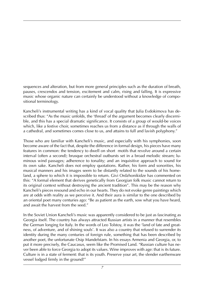sequences and alteration, but from more general principles such as the duration of breath, pauses, crescendos and tension, excitement and calm, rising and falling. It is expressive music whose organic nature can certainly be understood without a knowledge of compositional terminology.

Kancheli's instrumental writing has a kind of vocal quality that Julia Evdokimova has described thus: "As the music unfolds, the 'thread' of the argument becomes clearly discernible, and this has a special dramatic significance. It consists of a group of would-be voices which, like a festive choir, sometimes reaches us from a distance as if through the walls of a cathedral, and sometimes comes close to us, and attains to full and lavish polyphony."

Those who are familiar with Kancheli's music, and especially with his symphonies, soon become aware of the fact that, despite the difference in formal design, his pieces have many features in common: the tendency to dwell on short motifs that revolve around a certain interval (often a second); brusque orchestral outbursts set in a broad melodic stream; luminous wind passages; adherence to tonality; and an inquisitive approach to sound for its own sake. Kancheli does not employ quotations. Rather, his form and sonorities, his musical manners and his images seem to be distantly related to the sounds of his homeland, a sphere to which it is impossible to return. Givi Ordzhonikidze has commented on this: "A formal element that derives genetically from Georgian folk music cannot return to its original context without destroying the ancient tradition". This may be the reason why Kancheli's pieces resound and echo in our hearts. They do not evoke genre paintings which are at odds with reality as we perceive it. And their aura is similar to the one described by an oriental poet many centuries ago: "Be as patient as the earth, sow what you have heard, and await the harvest from the seed."

In the Soviet Union Kancheli's music was apparently considered to be just as fascinating as Georgia itself. The country has always attracted Russian artists in a manner that resembles the German longing for Italy. In the words of Leo Tolstoy, it was the 'land of fate and greatness, of adventure, and of shining souls'. It was also a country that refused to surrender its identity during the many centuries of foreign rule, something that has been described by another poet, the unfortunate Osip Mandelstam. In his essays Armenia and Georgia, or, to put it more precisely, the Caucasus, seem like the Promised Land. "Russian culture has never been able to force Georgia to adopt its values. Wine improves with age: that is its future. Culture is in a state of ferment: that is its youth. Preserve your art, the slender earthenware vessel lodged firmly in the ground!"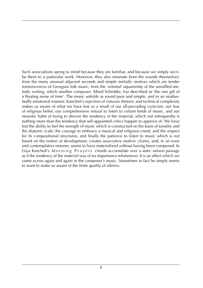Such associations spring to mind because they are familiar, and because we simply ascribe them to a particular work. However, they also emanate from the sounds themselves; from the many unusual adjacent seconds and simple melodic motives which are tender reminiscences of Georgian folk music; from the 'oriental' equanimity of the unruffled melodic writing, which another composer, Alfred Schnittke, has described as 'the rare gift of a floating sense of time'. The music unfolds as sound pure and simple, and in an unabashedly emotional manner. Kancheli's rejection of virtuoso rhetoric and technical complexity makes us aware of what we have lost as a result of our all-pervading cynicism, our fear of religious belief, our comprehensive refusal to listen to certain kinds of music, and our neurotic habit of trying to discern the tendency of the material, which not infrequently is nothing more than the tendency that self-appointed critics happen to approve of. We have lost the ability to feel the strength of music which is constructed on the basis of tonality and the diatonic scale; the courage to embrace a musical and religious creed, and the respect for its compositional structures; and finally the patience to listen to music which is not based on the notion of development, creates associative motivic chains, and, in an even and contemplative manner, seems to have materialized without having been composed. In Giya Kancheli's Morning Prayers chords accumulate over a static unison passage as if the tendency of the material was of no importance whatsoever. It is an effect which we come across again and again in the composer's music. Sometimes in fact he simply seems to want to make us aware of the finite quality of silence.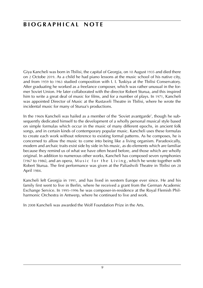### **BIOGRAPHICAL NOTE**

Giya Kancheli was born in Tbilisi, the capital of Georgia, on 10 August 1935 and died there on 2 Octobe 2019. As a child he had piano lessons at the music school of his native city, and from 1959 to 1963 studied composition with I. I. Tuskiya at the Tbilisi Conservatory. After graduating he worked as a freelance composer, which was rather unusual in the former Soviet Union. He later collaborated with the director Robert Sturua, and this inspired him to write a great deal of music for films, and for a number of plays. In 1971, Kancheli was appointed Director of Music at the Rustaveli Theatre in Tbilisi, where he wrote the incidental music for many of Sturua's productions.

In the 1960s Kancheli was hailed as a member of the 'Soviet avantgarde', though he subsequently dedicated himself to the development of a wholly personal musical style based on simple formulas which occur in the music of many different epochs, in ancient folk songs, and in certain kinds of contemporary popular music. Kancheli uses these formulas to create each work without reference to existing formal patterns. As he composes, he is concerned to allow the music to come into being like a living organism. Paradoxically, modern and archaic traits exist side by side in his music, as do elements which are familiar because they remind us of what we have often heard before, and those which are wholly original. In addition to numerous other works, Kancheli has composed seven symphonies  $(1967 \text{ to } 1986)$ , and an opera, Music for the Living, which he wrote together with Robert Sturua. The first performance was given at the Paliashvili Theatre in Tbilisi on 28 April 1984.

Kancheli left Georgia in 1991, and has lived in western Europe ever since. He and his family first went to live in Berlin, where he received a grant from the German Academic Exchange Service. In 1995–1996 he was composer-in-residence at the Royal Flemish Philharmonic Orchestra in Antwerp, where he continued to live and work.

In 2008 Kancheli was awarded the Wolf Foundation Prize in the Arts.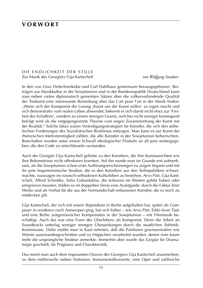### **v o r w o r t**

#### DIE ENDLICHKEIT DER STILLE Zur Musik des Georgiers Gija Kantscheli *von Wolfgang Sandner*

In den von Giwi Ordschonikidse und Carl Dahlhaus gemeinsam herausgegebenen Beiträgen zur Musikkultur in der Sowjetunion und in der Bundesrepublik Deutschland kann man neben vielen diplomatisch gemeinten Sätzen über die völkerverbindende Qualität der Tonkunst eine interessante Bemerkung über das L'art pour l'art in der Musik finden: "Wenn sich der Komponist die Losung ,Kunst um der Kunst willen' zu eigen macht und sich demonstrativ vom realen Leben abwendet, bekennt er sich damit nicht etwa zur 'Freiheit des Schaffens', sondern zu einem strengen Gesetz, welches nicht weniger konsequent befolgt wird als die entgegengesetzte Theorie vom engen Zusammenhang der Kunst mit der Realität." Solche Sätze waren Verteidigungsstrategien für Künstler, die sich den ästhetischen Forderungen des Sozialistischen Realismus entzogen. Man kann es zur Kunst der rhetorischen Mehrstimmigkeit zählen, die alle Künstler in der Sowjetunion beherrschten. Botschaften wurden unter einem Schwall ideologischer Floskeln an all jene weitergegeben, die den Code zu entschlüsseln verstanden.

Auch der Georgier Gija Kantscheli gehörte zu den Künstlern, die ihre Kunstansichten wie ihre Bekenntnisse nicht offenbaren konnten. Auf ihn wurde man im Grunde erst aufmerksam, als die Sowjetunion schon erste Auflösungserscheinungen zu zeigen begann und mit ihr jene hegemonistische Struktur, die es den Künstlern aus den Teilrepubliken schwermachte, sozusagen im russisch-orthodoxen Kulturleben zu bestehen. Arvo Pärt, Gija Kantscheli, Alfred Schnittke, Sofia Gubaidulina, die teilweise im Westen gelebt haben oder emigrieren mussten, bilden so im doppelten Sinne eine Avantgarde: durch die Faktur ihrer Werke und als Vorhut für die aus der Vormundschaft entlassenen Künstler, die es noch zu entdecken gilt.

Gija Kantscheli, der sich mit einem Stipendium in Berlin aufgehalten hat, später als *Composer in residence* nach Antwerpen ging, hat sich früher – wie Arvo Pärt, Erkki-Sven Tüür und eine Reihe zeitgenössischer Komponisten in der Sowjetunion – mit Filmmusik beschäftigt. Auch das war eine Form des Überlebens als Komponist. Denn die Arbeit an Soundtracks unterlag weniger strengen Überprüfungen durch die staatlichen Ästhetik-Kommissare. Dafür mußte man in Kauf nehmen, daß die Partituren gewissermaßen wie Würste auseinandergeschnitten und zu Häppchen verarbeitet wurden, denen man kaum mehr die ursprüngliche Struktur anmerkte. Immerhin aber wurde das Gespür für Dramaturgie geschärft, für Prägnanz und Charakteristik.

Das meint man auch dem imposanten Oeuvre des Georgiers Gija Kantscheli anzumerken, zu dem mittlerweile sieben Sinfonien, Instrumentalkonzerte, eine Oper und zahlreiche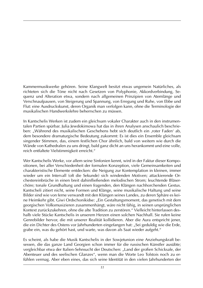Kammermusikwerke gehören. Seine Klangwelt besitzt etwas ungemein Natürliches, als richteten sich die Töne nicht nach Gesetzen von Polyphonie, Akkordverbindung, Sequenz und Alteration etwa, sondern nach allgemeinen Prinzipien von Atemlänge und Verschnaufpausen, von Steigerung und Spannung, von Erregung und Ruhe, von Ebbe und Flut: eine Ausdruckskunst, deren Organik man verfolgen kann, ohne die Terminologie der musikalischen Handwerkslehre beherrschen zu müssen.

In Kantschelis Werken ist zudem ein gleichsam vokaler Charakter auch in den instrumentalen Partien spürbar. Julia Jewdokimowa hat das in ihren Analysen anschaulich beschrieben: "Während des musikalischen Geschehens hebt sich deutlich ein "roter Faden' ab, dem besondere dramaturgische Bedeutung zukommt: Es ist dies ein Ensemble gleichsam singender Stimmen, das, einem festlichen Chor ähnlich, bald von weitem wie durch die Wände von Kathedralen zu uns dringt, bald ganz dicht an uns herankommt und eine volle, reich entfaltete Vielstimmigkeit erreicht."

Wer Kantschelis Werke, vor allem seine Sinfonien kennt, wird in der Faktur dieser Kompositionen, bei aller Verschiedenheit der formalen Konzeption, viele Gemeinsamkeiten und charakteristische Elemente entdecken: die Neigung zur Kontemplation in kleinen, immer wieder um ein Intervall (oft die Sekunde) sich windenden Motiven; attackierende Orchestereinbrüche in einen breit dahinfließenden melodischen Strom; leuchtende Bläserchöre; tonale Grundhaltung und einen fragenden, den Klängen nachhorchenden Gestus. Kantscheli zitiert nicht, seine Formen und Klänge, seine musikalische Haltung und seine Bilder sind wie von ferne verwandt mit den Klängen seines Landes, zu deren Sphäre es keine Heimkehr gibt. Giwi Ordschonikidse: "Ein Gestaltungsmoment, das genetisch mit dem georgischen Volksmusizieren zusammenhängt, wäre nicht fähig, in seinen ursprünglichen Kontext zurückzukehren, ohne die alte Tradition zu zerstören." Vielleicht hinterlassen deshalb viele Stücke Kantschelis in unserem Herzen einen solchen Nachhall. Sie rufen keine Genrebilder hervor, die mit unserer Realität kollidieren. Aber die Aura entspricht jener, die ein Dichter des Ostens vor Jahrhunderten eingefangen hat: "Sei geduldig wie die Erde, grabe ein, was du gehört hast, und warte, was davon als Saat wieder aufgeht."

Es scheint, als habe die Musik Kantschelis in der Sowjetunion eine Anziehungskraft besessen, die das ganze Land Georgien schon immer für die russischen Künstler ausübte; vergleichbar etwa der Italien-Sehnsucht der Deutschen: "Land der großen Schicksale, der Abenteuer und des seelischen Glanzes", wenn man die Worte Leo Tolstois noch zu erfühlen vermag. Aber eben eines, das sich seine Identität in den vielen Jahrhunderten der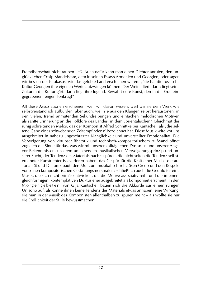Fremdherrschaft nicht rauben ließ. Auch dafür kann man einen Dichter anrufen, den unglücklichen Ossip Mandelstam, dem in seinen Essays Armenien und Georgien, oder sagen wir besser: der Kaukasus, wie das gelobte Land erschienen waren: "Nie hat die russische Kultur Georgien ihre eigenen Werte aufzwingen können. Der Wein altert: darin liegt seine Zukunft; die Kultur gärt: darin liegt ihre Jugend. Bewahrt eure Kunst, den in die Erde eingegrabenen, engen Tonkrug!"

All diese Assoziationen erscheinen, weil wir davon wissen, weil wir sie dem Werk wie selbstverständlich aufbürden, aber auch, weil sie aus den Klängen selbst heraustönen; in den vielen, fremd anmutenden Sekundreibungen und einfachen melodischen Motiven als sanfte Erinnerung an die Folklore des Landes, in dem "orientalischen" Gleichmut des ruhig schreitenden Melos, das der Komponist Alfred Schnittke bei Kantscheli als "die seltene Gabe eines schwebenden Zeitempfindens" bezeichnet hat. Diese Musik wird vor uns ausgebreitet in nahezu ungeschützter Klanglichkeit und unverstellter Emotionalität. Die Verweigerung von virtuoser Rhetorik und technisch-kompositorischem Aufwand öffnet zugleich die Sinne für das, was wir mit unserem alltäglichen Zynismus und unserer Angst vor Bekenntnissen, unserem umfassenden musikalischen Verweigerungsprinzip und unserer Sucht, der Tendenz des Materials nachzuspüren, die nicht selten die Tendenz selbsternannter Kunstrichter ist, verloren haben: das Gespür für die Kraft einer Musik, die auf Tonalität und Diatonik baut, den Mut zum musikalisch-religiösen Credo und den Respekt vor seinen kompositorischen Gestaltungsmerkmalen; schließlich auch die Geduld für eine Musik, die sich nicht primär entwickelt, die die Motive assoziativ reiht und die in einem gleichförmigen, kontemplativen Duktus eher ausgebreitet als komponiert erscheint. In den Morgengebeten von Gija Kantscheli bauen sich die Akkorde aus einem ruhigen Unisono auf, als könne ihnen keine Tendenz des Materials etwas anhaben: eine Wirkung, die man in der Musik des Komponisten allenthalben zu spüren meint – als wollte sie nur die Endlichkeit der Stille bewusstmachen.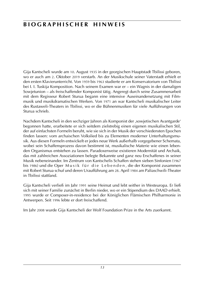### **b i o g r a p h i s c h e r h i n w e i s**

Gija Kantscheli wurde am 10. August 1935 in der georgischen Hauptstadt Tbilissi geboren, wo er auch am 2. Oktober 2019 verstarb. An der Musikschule seiner Vaterstadt erhielt er den ersten Klavierunterricht. Von 1959 bis 1963 studierte er am Konservatorium von Tbilissi bei I. I. Tuskija Komposition. Nach seinem Examen war er – ein Wagnis in der damaligen Sowjetunion – als freischaffender Komponist tätig. Angeregt durch seine Zusammenarbeit mit dem Regisseur Robert Sturua begann eine intensive Auseinandersetzung mit Filmmusik und musikdramatischen Werken. Von 1971 an war Kantscheli musikalischer Leiter des Rustaweli-Theaters in Tbilissi, wo er die Bühnenmusiken für viele Aufführungen von Sturua schrieb.

Nachdem Kantscheli in den sechziger Jahren als Komponist der ,sowjetischen Avantgarde' begonnen hatte, erarbeitete er sich seitdem zielstrebig einen eigenen musikalischen Stil, der auf einfachsten Formeln beruht, wie sie sich in der Musik der verschiedensten Epochen finden lassen: vom archaischen Volkslied bis zu Elementen moderner Unterhaltungsmusik. Aus diesen Formeln entwickelt er jedes neue Werk außerhalb vorgegebener Schemata, wobei sein Schaffensprozess davon bestimmt ist, musikalische Materie wie einen lebenden Organismus entstehen zu lassen. Paradoxerweise existieren Modernität und Archaik, das mit zahlreichen Assoziationen belegte Bekannte und ganz neu Erschaffenes in seiner Musik nebeneinander. Im Zentrum von Kantschelis Schaffen stehen sieben Sinfonien (1967 bis 1986) und die Oper Musik für die Lebenden, die der Komponist zusammen mit Robert Sturua schuf und deren Uraufführung am 28. April 1984 am Paliaschwili-Theater in Tbilissi stattfand.

Gija Kantscheli verließ im Jahr 1991 seine Heimat und lebt seither in Westeuropa. Er ließ sich mit seiner Familie zunächst in Berlin nieder, wo er ein Stipendium des DAAD erhielt. 1995 wurde er Composer-in-residence bei der Königlichen Flämischen Philharmonie in Antwerpen. Seit 1996 lebte er dort freischaffend.

Im Jahr 2008 wurde Gija Kantscheli der Wolf Foundation Prize in the Arts zuerkannt.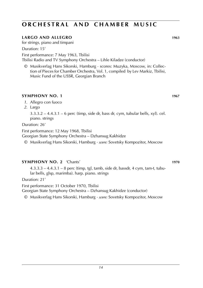#### **LARGO AND ALLEGRO 1963**

for strings, piano and timpani

Duration: 15'

First performance: 7 May 1963, Tbilisi Tbilisi Radio and TV Symphony Orchestra – Lihle Kiladze (conductor)

© Musikverlag Hans Sikorski, Hamburg · scores: Muzyka, Moscow, in: Collection of Pieces for Chamber Orchestra, Vol. 1, compiled by Lev Markiz, Tbilisi, Music Fund of the USSR, Georgian Branch

#### **SYMPHONY NO. 1 1967**

- *1*. Allegro con fuoco
- *2*. Largo

3.3.3.2 – 4.4.3.1 – 6 perc (timp, side dr, bass dr, cym, tubular bells, xyl). cel. piano. strings

Duration: 26'

First performance: 12 May 1968, Tbilisi Georgian State Symphony Orchestra – Dzhansug Kakhidze

© Musikverlag Hans Sikorski, Hamburg · *score:* Sovetsky Kompozitor, Moscow

#### **SYMPHONY NO. 2** 'Chants' **1970**

4.3.3.3 – 4.4.3.1 – 8 perc (timp, tgl, tamb, side dr, bassdr, 4 cym, tam-t, tubular bells, glsp, marimba). harp. piano. strings

Duration: 21'

First performance: 31 October 1970, Tbilisi

Georgian State Symphony Orchestra – Dzhansug Kakhidze (conductor)

© Musikverlag Hans Sikorski, Hamburg · *score:* Sovetsky Kompozitor, Moscow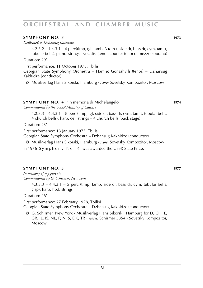#### **SYMPHONY NO. 3 1973**

*Dedicated to Dzhansug Kakhidze*

4.2.3.2 – 4.4.3.1 – 6 perc(timp, tgl, tamb, 3 tom-t, side dr, bass dr, cym, tam-t, tubular bells). piano. strings – vocalist (tenor, counter-tenor or mezzo-soprano)

Duration: 29'

First performance: 11 October 1973, Tbilisi

Georgian State Symphony Orchestra – Hamlet Gonashvili (tenor) – Dzhansug Kakhidze (conductor)

© Musikverlag Hans Sikorski, Hamburg · *score:* Sovetsky Kompozitor, Moscow

#### **SYMPHONY NO. 4** 'In memoria di Michelangelo' **1974** *Commissioned by the USSR Ministry of Culture*

 $4.2.3.3 - 4.4.3.1 - 8$  perc (timp, tgl, side dr, bass dr, cym, tam-t, tubular bells, 4 church bells). harp. cel. strings – 4 church bells (back stage)

Duration: 23'

First performance: 13 January 1975, Tbilisi

Georgian State Symphony Orchestra – Dzhansug Kakhidze (conductor)

© Musikverlag Hans Sikorski, Hamburg · *score:* Sovetsky Kompozitor, Moscow

In 1976 S v m p h o n v N o . 4 was awarded the USSR State Prize.

#### **SYMPHONY NO. 5 1977**

*In memory of my parents Commissioned by G. Schirmer, New York*

> $4.3.3.3 - 4.4.3.1 - 5$  perc (timp, tamb, side dr, bass dr, cym, tubular bells, glsp). harp. hpd. strings

Duration: 26'

First performance: 27 February 1978, Tbilisi Georgian State Symphony Orchestra – Dzhansug Kakhidze (conductor)

© G. Schirmer, New York · Musikverlag Hans Sikorski, Hamburg for D, CH, E, GR, IL, IS, NL, P, N, S, DK, TR · *scores:* Schirmer 3354 · Sovetsky Kompozitor, Moscow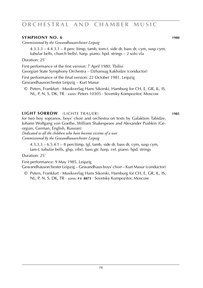#### **SYMPHONY NO. 6 1980**

*Commissioned by the Gewandhausorchester Leipzig*

 $4.3.3.3 - 4.4.3.1 - 8$  perc (timp, tamb, tom-t, side dr, bass dr, cym, susp cym, tubular bells, church bells). harp. piano. hpd. strings – 2 solo vla

Duration: 25'

First performance of the first version: 7 April 1980, Tbilisi Georgian State Symphony Orchestra – Dzhansug Kakhidze (conductor)

First performance of the final version: 22 October 1981, Leipzig Gewandhausorchester Leipzig – Kurt Masur

© Peters, Frankfurt · Musikverlag Hans Sikorski, Hamburg for CH, E, GR, IL, IS, NL, P, N, S, DK, TR · *scores:* Peters 10305 · Sovetsky Kompozitor, Moscow

#### **LIGHT SORROW** (LICHTE TRAUER) **1985**

for two boy sopranos, boys' choir and orchestra on texts by Galaktion Tabidze, Johann Wolfgang von Goethe, William Shakespeare and Alexander Pushkin (Georgian, German, English, Russian)

*Dedicated to all the children who have become victims of a war Commissioned by the Gewandhausorchester Leipzig*

 $4.3.3.3 - 6.5.4.1 - 8$  perc(timp, tgl, tamb, side dr, bass dr, cym, susp cym, tam-t, tubular bells, glsp, vibr). bass gtr. harp. cel. piano. hpd. strings

Duration: 25'

First performance: 9 May 1985, Leipzig

Gewandhausorchester Leipzig – Gewandhaus boys' choir – Kurt Masur (conductor)

© Peters, Frankfurt · Musikverlag Hans Sikorski, Hamburg for CH, E, GR, IL, IS, NL, P, N, S, DK, TR · *scores:* **p e 8873** · Sovetsky Kompozitor, Moscow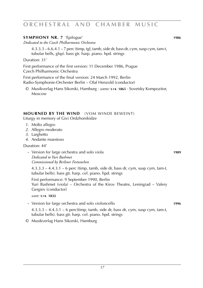#### **SYMPHONY NR. 7** 'Epilogue' **1986**

*Dedicated to the Czech Philharmonic Orchestra*

4.3.3.3 – 6.6.4.1 – 7 perc (timp, tgl, tamb, side dr, bass dr, cym, susp cym, tam-t, tubular bells, glsp). bass gtr. harp. piano. hpd. strings

Duration: 31'

First performance of the first version: 11 December 1986, Prague Czech Philharmonic Orchestra

First performance of the final version: 24 March 1992, Berlin Radio-Symphonie-Orchester Berlin – Olaf Henzold (conductor)

© Musikverlag Hans Sikorski, Hamburg · *scores:* **s i k 1865** · Sovetsky Kompozitor, Moscow

#### **MOURNED BY THE WIND** (VOM WINDE BEWEINT)

Liturgy in memory of Givi Ordzhonikidze

- *1*. Molto allegro
- *2*. Allegro moderato
- *3*. Larghetto
- *4*. Andante maestoso

Duration: 44'

**·** Version for large orchestra and solo viola **1989** *Dedicated to Yuri Bashmet Commissioned by Berliner Festwochen*

4.3.3.3 – 4.4.3.1 – 6 perc (timp, tamb, side dr, bass dr, cym, susp cym, tam-t, tubular bells). bass gtr. harp. cel. piano. hpd. strings

 First performance: 9 September 1990, Berlin Yuri Bashmet (viola) – Orchestra of the Kirov Theatre, Leningrad – Valery Gergiev (conductor)

*score:* **s i k 1832**

**·** Version for large orchestra and solo violoncello **1996**

 $4.3.3.3 - 4.4.3.1 - 6$  perc(timp, tamb, side dr, bass dr, cym, susp cym, tam-t, tubular bells). bass gtr. harp. cel. piano. hpd. strings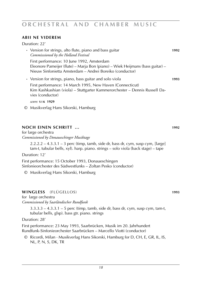### **ABII NE VIDEREM**

Duration: 22'

| • Version for strings, alto flute, piano and bass guitar<br>Commisssioned by the Holland Festival                                                                                       | 1992 |
|-----------------------------------------------------------------------------------------------------------------------------------------------------------------------------------------|------|
| First performance: 10 June 1992, Amsterdam<br>Eleonore Pameijer (flute) – Marja Bon (piano) – Wiek Heijmans (bass guitar) –<br>Nieuw Sinfonietta Amsterdam – Andrei Boreiko (conductor) |      |
| • Version for strings, piano, bass guitar and solo viola                                                                                                                                | 1993 |

 First performance: 14 March 1995, New Haven (Connecticut) Kim Kashkashian (viola) – Stuttgarter Kammerorchester – Dennis Russell Davies (conductor)

*score:* **s i k 1929**

© Musikverlag Hans Sikorski, Hamburg

### **NOCH EINEN SCHRITT ... 1992**

for large orchestra *Commissioned by Donaueschinger Musiktage*

> $2.2.2.2 - 4.3.3.1 - 3$  perc (timp, tamb, side dr, bass dr, cym, susp cym, [large] tam-t, tubular bells, xyl). harp. piano. strings – solo viola (back stage) – tape

Duration: 12'

First performance: 15 October 1993, Donaueschingen Sinfonieorchester des Südwestfunks – Zoltan Pesko (conductor)

© Musikverlag Hans Sikorski, Hamburg

### **WINGLESS** (FLÜGELLOS) **1993**

for large orchestra

*Commissioned by Saarländischer Rundfunk*

 $3.3.3.3 - 4.3.3.1 - 5$  perc (timp, tamb, side dr, bass dr, cym, susp cym, tam-t, tubular bells, glsp). bass gtr. piano. strings

Duration: 28'

First performance: 23 May 1993, Saarbrücken, Musik im 20. Jahrhundert Rundfunk-Sinfonieorchester Saarbrücken – Marcello Viotti (conductor)

© Ricordi, Milan · Musikverlag Hans Sikorski, Hamburg for D, CH, E, GR, IL, IS, NL, P, N, S, DK, TR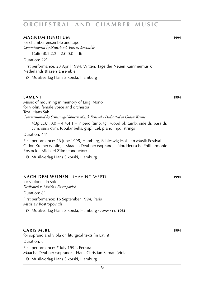#### **MAGNUM IGNOTUM 1994**

for chamber ensemble and tape *Commissioned by Nederlands Blazers Ensemble*

1(alto fl).2.2.2 – 2.0.0.0 – db

Duration: 22'

First performance: 23 April 1994, Witten, Tage der Neuen Kammermusik Nederlands Blazers Ensemble

© Musikverlag Hans Sikorski, Hamburg

#### **LAMENT 1994**

Music of mourning in memory of Luigi Nono for violin, female voice and orchestra Text: Hans Sahl *Commissioned by Schleswig-Holstein Musik Festival · Dedicated to Gidon Kremer*

4(3picc).1.0.0 – 4.4.4.1 – 7 perc (timp, tgl, wood bl, tamb, side dr, bass dr, cym, susp cym, tubular bells, glsp). cel. piano. hpd. strings

Duration: 44'

First performance: 26 June 1995, Hamburg, Schleswig-Holstein Musik Festival Gidon Kremer (violin) – Maacha Deubner (soprano) – Norddeutsche Philharmonie Rostock – Michael Zilm (conductor)

© Musikverlag Hans Sikorski, Hamburg

#### **NACH DEM WEINEN** (HAVING WEPT) **1994**

for violoncello solo *Dedicated to Mstislav Rostropovich*

Duration: 8'

First performance: 16 September 1994, Paris Mstislav Rostropovich

© Musikverlag Hans Sikorski, Hamburg · *score:* **s i k 1962**

#### **Caris mere 1994**

for soprano and viola on liturgical texts (in Latin)

Duration: 8'

First performance: 7 July 1994, Ferrara Maacha Deubner (soprano) – Hans-Christian Sarnau (viola)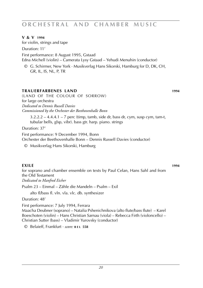#### **V & V 1994**

for violin, strings and tape Duration: 11'

First performance: 8 August 1995, Gstaad Edna Michell (violin) – Camerata Lysy Gstaad – Yehudi Menuhin (conductor)

© G. Schirmer, New York · Musikverlag Hans Sikorski, Hamburg for D, DK, CH, GR, IL, IS, NL, P, TR

#### **TRAUERFARBENES LAND** 1994

(land of the colour of sorrow) for large orchestra *Dedicated to Dennis Russell Davies Commissioned by the Orchester der Beethovenhalle Bonn*

 $3.2.2.2 - 4.4.4.1 - 7$  perc (timp, tamb, side dr, bass dr, cym, susp cym, tam-t, tubular bells, glsp, vibr). bass gtr. harp. piano. strings

Duration: 37'

First performance: 9 December 1994, Bonn Orchester der Beethovenhalle Bonn – Dennis Russell Davies (conductor)

© Musikverlag Hans Sikorski, Hamburg

#### **EXILE 1994**

for soprano and chamber ensemble on texts by Paul Celan, Hans Sahl and from the Old Testament

*Dedicated to Manfred Eicher*

Psalm 23 – Einmal – Zähle die Mandeln – Psalm – Exil

alto fl/bass fl. vln. vla. vlc. db. synthesizer

Duration: 48'

First performance: 7 July 1994, Ferrara Maacha Deubner (soprano) – Natalia Pshenichnikova (alto flute/bass flute) – Karel Boeschoten (violin) – Hans Christian Sarnau (viola) – Rebecca Firth (violoncello) – Christian Sutter (bass) – Vladimir Yurovsky (conductor)

© Belaieff, Frankfurt · *score:* **b e l 558**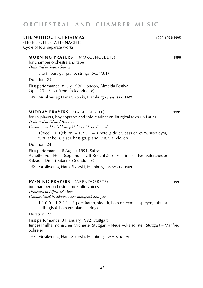#### **LIFE WITHOUT CHRISTMAS 1990**-**1992**/**1995**

(LEBEN OHNE WEIHNACHT) Cycle of four separate works:

#### **MORNING PRAYERS** (MORGENGEBETE) **1990**

for chamber orchestra and tape *Dedicated to Robert Sturua*

alto fl. bass gtr. piano. strings (6/5/4/3/1)

Duration: 23'

First performance: 8 July 1990, London, Almeida Festival Opus 20 – Scott Stroman (conductor)

© Musikverlag Hans Sikorski, Hamburg · *score:* **s i k 1902**

#### **MIDDAY PRAYERS** (TAGESGEBETE) **1991**

for 19 players, boy soprano and solo clarinet on liturgical texts (in Latin) *Dedicated to Eduard Brunner Commissioned by Schleswig-Holstein Musik Festival*

 $1(picc).1.0.1(db bn) - 1.2.3.1 - 3 perc (side dr, bass dr, cym, susp cym,$ tubular bells, glsp). bass gtr. piano. vln. vla. vlc. db

Duration: 24'

First performance: 8 August 1991, Salzau Agnethe von Holst (soprano) – Ulf Rodenhäuser (clarinet) – Festivalorchester Salzau – Dmitri Kitaenko (conductor)

© Musikverlag Hans Sikorski, Hamburg · *score:* **s i k 1909**

### **EVENING PRAYERS** (ABENDGEBETE) **1991**

for chamber orchestra and 8 alto voices *Dedicated to Alfred Schnittke Commissioned by Süddeutscher Rundfunk Stuttgart*

1.1.0.0 – 1.2.2.1 – 3 perc (tamb, side dr, bass dr, cym, susp cym, tubular bells, glsp). bass gtr. piano. strings

Duration: 27'

First performance: 31 January 1992, Stuttgart Junges Philharmonisches Orchester Stuttgart – Neue Vokalsolisten Stuttgart – Manfred Schreier

© Musikverlag Hans Sikorski, Hamburg · *score:* **s i k 1910**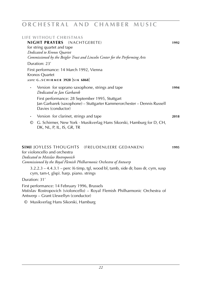### **o r c h e s t r a l a n d c h a m b e r m u s i c**

| <b>LIFE WITHOUT CHRISTMAS</b><br><b>NIGHT PRAYERS</b> (NACHTGEBETE)<br>for string quartet and tape<br>Dedicated to Kronos Quartet<br>Commissioned by the Beigler Trust and Lincoln Center for the Performing Arts | 1992 |
|-------------------------------------------------------------------------------------------------------------------------------------------------------------------------------------------------------------------|------|
| Duration: 23'                                                                                                                                                                                                     |      |
| First performance: 14 March 1992, Vienna<br>Kronos Quartet                                                                                                                                                        |      |
| score: G.SCHIRMER 3928 [SIK 6868]                                                                                                                                                                                 |      |
| Version for soprano saxophone, strings and tape<br>$\bullet$<br>Dedicated to Jan Garbarek                                                                                                                         | 1994 |
| First performance: 28 September 1995, Stuttgart<br>Jan Garbarek (saxophone) - Stuttgarter Kammerorchester - Dennis Russell<br>Davies (conductor)                                                                  |      |
| Version for clarinet, strings and tape<br>$\bullet$                                                                                                                                                               | 2018 |
| G. Schirmer, New York · Musikverlag Hans Sikorski, Hamburg for D, CH,<br>O<br>DK, NL, P, IL, IS, GR, TR                                                                                                           |      |
| <b>SIMI JOYLESS THOUGHTS</b> (FREUDENLEERE GEDANKEN)<br>for violoncello and orchestra<br>Dedicated to Mstislav Rostropovich<br>Commissioned by the Royal Flemish Philharmonic Orchestra of Antwerp                | 1995 |
| $3.2.2.3 - 4.4.3.1 -$ perc (6 timp, tgl, wood bl, tamb, side dr, bass dr, cym, susp<br>cym, tam-t, glsp). harp. piano. strings                                                                                    |      |
| Duration: 31'                                                                                                                                                                                                     |      |
| First performance: 14 February 1996, Brussels<br>Mstislav Rostropovich (violoncello) – Royal Flemish Philharmonic Orchestra of<br>Antwerp - Grant Llewellyn (conductor)                                           |      |
| © Musikverlag Hans Sikorski, Hamburg                                                                                                                                                                              |      |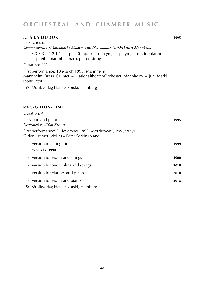#### **... À LA DUDUKI 1995**

for orchestra *Commissioned by Musikalische Akademie des Nationaltheater-Orchesters Mannheim*

 $3.3.3.3 - 1.2.1.1 - 4$  perc (timp, bass dr, cym, susp cym, tam-t, tubular bells, glsp, vibr, marimba). harp. piano. strings

Duration: 25'

First performance: 18 March 1996, Mannheim Mannheim Brass Quintet – Nationaltheater-Orchester Mannheim – Jun Märkl (conductor)

© Musikverlag Hans Sikorski, Hamburg

#### **rag-gidon-time**

| Duration: 4'                                                                                                |      |
|-------------------------------------------------------------------------------------------------------------|------|
| for violin and piano<br>Dedicated to Gidon Kremer                                                           | 1995 |
| First performance: 5 November 1995, Morristown (New Jersey)<br>Gidon Kremer (violin) – Peter Serkin (piano) |      |
| • Version for string trio<br>score: S <sub>1K</sub> 1990                                                    | 1999 |
| • Version for violin and strings                                                                            | 2000 |
| • Version for two violins and strings                                                                       | 2018 |
| • Version for clarinet and piano                                                                            | 2018 |
| • Version for violin and piano<br>© Musikverlag Hans Sikorski, Hamburg                                      | 2018 |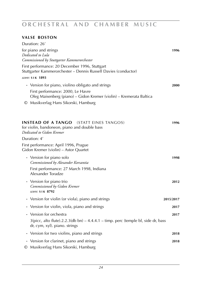### **o r c h e s t r a l a n d c h a m b e r m u s i c**

### **Valse Boston**

| Duration: 26'                                                               |                                                                                                                                                               |           |
|-----------------------------------------------------------------------------|---------------------------------------------------------------------------------------------------------------------------------------------------------------|-----------|
| for piano and strings<br>Dedicated to Lula                                  | Commissioned by Stuttgarter Kammerorchester                                                                                                                   | 1996      |
|                                                                             | First performance: 20 December 1996, Stuttgart<br>Stuttgarter Kammerorchester – Dennis Russell Davies (conductor)                                             |           |
| score: SIK 1893                                                             |                                                                                                                                                               |           |
|                                                                             | • Version for piano, violino obligato and strings<br>First performance: 2000, Le Havre<br>Oleg Maisenberg (piano) - Gidon Kremer (violin) - Kremerata Baltica | 2000      |
|                                                                             | © Musikverlag Hans Sikorski, Hamburg                                                                                                                          |           |
| <b>INSTEAD OF A TANGO</b><br>Dedicated to Gidon Kremer                      | (STATT EINES TANGOS)<br>for violin, bandoneon, piano and double bass                                                                                          | 1996      |
| Duration: 4'                                                                |                                                                                                                                                               |           |
|                                                                             | First performance: April 1996, Prague<br>Gidon Kremer (violin) - Astor Quartet                                                                                |           |
| • Version for piano solo                                                    | Commissioned by Alexander Korsantia                                                                                                                           | 1998      |
| Alexander Toradze                                                           | First performance: 27 March 1998, Indiana                                                                                                                     |           |
| • Version for piano trio<br>Commissioned by Gidon Kremer<br>score: SIK 8792 |                                                                                                                                                               | 2012      |
|                                                                             | • Version for violin (or viola), piano and strings                                                                                                            | 2015/2017 |
|                                                                             | • Version for violin, viola, piano and strings                                                                                                                | 2017      |
| Version for orchestra                                                       |                                                                                                                                                               | 2017      |
| dr, cym, xyl). piano. strings                                               | $3$ (picc, alto flute).2.2.3(db bn) – 4.4.4.1 – timp. perc (temple bl, side dr, bass                                                                          |           |
|                                                                             | • Version for two violins, piano and strings                                                                                                                  | 2018      |
|                                                                             | • Version for clarinet, piano and strings<br>© Musikverlag Hans Sikorski, Hamburg                                                                             | 2018      |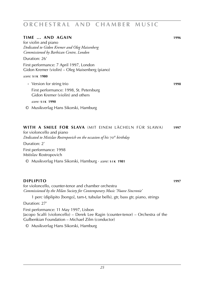| TIME  AND AGAIN                                                                            | 1996 |
|--------------------------------------------------------------------------------------------|------|
|                                                                                            |      |
| for violin and piano                                                                       |      |
| Dedicated to Gidon Kremer and Oleg Maisenberg                                              |      |
| Commissioned by Barbican Centre, London                                                    |      |
| Duration: 26'                                                                              |      |
| First performance: 7 April 1997, London<br>Gidon Kremer (violin) – Oleg Maisenberg (piano) |      |
| score: SIK 1980                                                                            |      |
| • Version for string trio                                                                  | 1998 |
| First performance: 1998, St. Petersburg                                                    |      |
| Gidon Kremer (violin) and others                                                           |      |
|                                                                                            |      |
| score: SIK 1990                                                                            |      |
|                                                                                            |      |

© Musikverlag Hans Sikorski, Hamburg

#### **with a smile for slava** (mit einem lächeln für slawa) **1997**

for violoncello and piano *Dedicated to Mstislav Rostropovich on the occasion of his* 70*th birthday*

Duration: 2' First performance: 1998 Mstislav Rostropovich

© Musikverlag Hans Sikorski, Hamburg · *score:* **s i k 1981**

#### **diplipito 1997**

for violoncello, counter-tenor and chamber orchestra *Commissioned by the Milan Society for Contemporary Music 'Nuove Sincronie'*

1 perc (diplipito [bongo], tam-t, tubular bells), gtr, bass gtr, piano, strings Duration: 27'

First performance: 11 May 1997, Lisbon Jacopo Scalfi (violoncello) – Derek Lee Ragin (counter-tenor) – Orchestra of the Gulbenkian Foundation – Michael Zilm (conductor)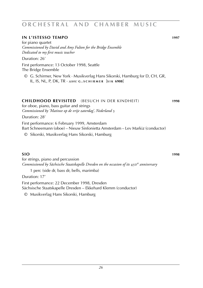#### **in l'istesso tempo 1997**

for piano quartet *Commissioned by David and Amy Fulton for the Bridge Ensemble Dedicated to my first music teacher*

Duration: 26'

First performance: 13 October 1998, Seattle The Bridge Ensemble

© G. Schirmer, New York · Musikverlag Hans Sikorski, Hamburg for D, CH, GR, IL, IS, NL, P, DK, TR · *score:* **<sup>g</sup> . s c h i r m e r** [**s i k 6908**]

#### **childhood revisited** (besuch in der kindheit) **1998**

for oboe, piano, bass guitar and strings *Commissioned by 'Matinee op de vrije zaterdag', Nederland* 3

Duration: 28'

First performance: 6 February 1999, Amsterdam Bart Schneemann (oboe) – Nieuw Sinfonietta Amsterdam – Lev Markiz (conductor)

© Sikorski, Musikverlag Hans Sikorski, Hamburg

#### **sio 1998**

for strings, piano and percussion *Commissioned by Sächsische Staatskapelle Dresden on the occasion of its* 450*th anniversary*

1 perc (side dr, bass dr, bells, marimba)

Duration: 17'

First performance: 22 December 1998, Dresden Sächsische Staatskapelle Dresden – Ekkehard Klemm (conductor)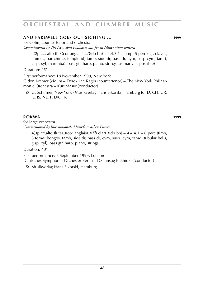#### **and farewell goes out sighing ... 1999**

for violin, counter-tenor and orchestra

*Commissioned by The New York Philharmonic for its Millennium concerts*

 $4(2picc, alto fl).3(cor anglais).2.3(db bn) – 4.4.3.1 – timp. 5 perc (tgl, clauses,$ chimes, bar chime, temple bl, tamb, side dr, bass dr, cym, susp cym, tam-t, glsp, xyl, marimba). bass gtr. harp. piano. strings (as many as possible)

Duration: 25'

First performance: 18 November 1999, New York Gidon Kremer (violin) – Derek Lee Ragin (countertenor) – The New York Philharmonic Orchestra – Kurt Masur (conductor)

© G. Schirmer, New York · Musikverlag Hans Sikorski, Hamburg for D, CH, GR, IL, IS, NL, P, DK, TR

#### **rokwa 1999**

for large orchestra *Commissioned by Internationale Musikfestwochen Luzern*

4(3picc,alto flute).3(cor anglais).3(*Eb* clar).3(db bn) – 4.4.4.1 – 6 perc (timp, 5 tom-t, bongos, tamb, side dr, bass dr, cym, susp. cym, tam-t, tubular bells, glsp, xyl), bass gtr, harp, piano, strings

Duration: 40'

First performance: 5 September 1999, Lucerne

Deutsches Symphonie-Orchester Berlin – Dzhansug Kakhidze (conductor)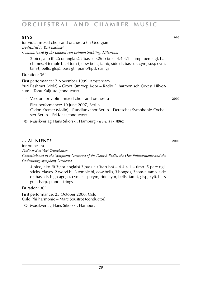### **STYX** 1999 for viola, mixed choir and orchestra (in Georgian) *Dedicated to Yuri Bashmet Commissioned by the Eduard van Beinum Stichting, Hilversum* 2(picc, alto fl).2(cor anglais).2(bass cl).2(db bn) –  $4.4.4.1$  – timp. perc (tgl, bar chimes, 4 temple bl, 4 tom-t, cow bells, tamb, side dr, bass dr, cym, susp cym, tam-t, bells, glsp). bass gtr. piano/hpd. strings Duration: 36' First performance: 7 November 1999, Amsterdam Yuri Bashmet (viola) – Groot Omroep Koor – Radio Filharmonisch Orkest Hilversum – Tonu Kaljuste (conductor) · Version for violin, mixed choir and orchestra **2007** First performance: 10 June 2007, Berlin Gidon Kremer (violin) – Rundfunkchor Berlin – Deutsches Symphonie-Orchester Berlin – Eri Klas (conductor)

© Musikverlag Hans Sikorski, Hamburg · *score:* **s i k 8562**

### **... al niente 2000**

for orchestra *Dedicated to Yuri Temirkanov Commissioned by the Symphony Orchestra of the Danish Radio, the Oslo Philharmonic and the Gothenburg Symphony Orchestra*

4(picc, alto fl).3(cor anglais).3(bass cl).3(db bn)  $-4.4.4.1 -$  timp. 5 perc (tgl, sticks, claves, 2 wood bl, 3 temple bl, cow bells, 3 bongos, 3 tom-t, tamb, side dr, bass dr, high agogo, cym, susp cym, ride cym, bells, tam-t, glsp, xyl). bass guit. harp. piano. strings

Duration: 30'

First performance: 25 October 2000, Oslo Oslo Philharmonic – Marc Soustrot (conductor)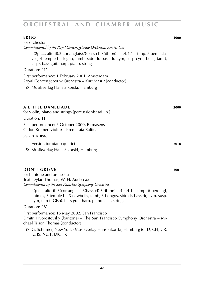#### **ergo 2000**

| for orchestra                                                                                                                                                                                                    |      |
|------------------------------------------------------------------------------------------------------------------------------------------------------------------------------------------------------------------|------|
| Commisssioned by the Royal Concertgebouw Orchestra, Amsterdam                                                                                                                                                    |      |
| $4(2picc, alto fl).3(cor anglais).3(bass cl).3(db bn) – 4.4.4.1 – timp. 5 perc (cla-$<br>ves, 4 temple bl, legno, tamb, side dr, bass dr, cym, susp cym, bells, tam-t,<br>glsp). bass guit. harp. piano. strings |      |
| Duration: 21'                                                                                                                                                                                                    |      |
| First performance: 1 February 2001, Amsterdam<br>Royal Concertgebouw Orchestra – Kurt Masur (conductor)                                                                                                          |      |
| © Musikverlag Hans Sikorski, Hamburg                                                                                                                                                                             |      |
| A LITTLE DANELIADE<br>for violin, piano and strings (percussionist ad lib.)<br>Duration: 11'                                                                                                                     | 2000 |
| First performance: 6 October 2000, Pirmasens<br>Gidon Kremer (violin) – Kremerata Baltica                                                                                                                        |      |
| score: SIK 8563                                                                                                                                                                                                  |      |
| • Version for piano quartet<br>Musikverlag Hans Sikorski, Hamburg<br>O                                                                                                                                           | 2018 |

### **DON'T GRIEVE** 2001

for baritone and orchestra Text: Dylan Thomas, W. H. Auden a.o. *Commissioned by the San Francisco Symphony Orchestra*

 $4(pice, alto fl).3(cor anglais).3(bass cl).3(db bn) – 4.4.4.1 – timp. 6 perc (tgl,$ chimes, 3 temple bl, 3 cowbells, tamb, 3 bongos, side dr, bass dr, cym, susp. cym, tam-t, Glsp). bass guit. harp. piano. akk, strings

#### Duration: 28'

First performance: 15 May 2002, San Francisco Dmitri Hvorostovsky (baritone) – The San Francisco Symphony Orchestra – Michael Tilson Thomas (conductor)

© G. Schirmer, New York · Musikverlag Hans Sikorski, Hamburg for D, CH, GR, IL, IS, NL, P, DK, TR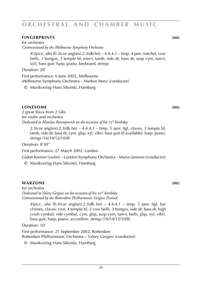#### **fingerprints 2002**

for orchestra *Commissioned by the Melbourne Symphony Orchestra*

 $4(2picc, alto fl).3(cor anglais).2.3(db bn) – 4.4.4.1 – timp. 4 perc (ratchet, cow)$ bells, 3 bongos, 3 temple bl, tom-t, tamb, side dr, bass dr, susp cym, tam-t, xyl). bass guit. harp. piano. keyboard. strings

Duration: 28'

First performance: 6 June 2002, Melbourne Melbourne Symphony Orchestra – Markus Stenz (conductor)

© Musikverlag Hans Sikorski, Hamburg

#### **lonesome 2002**

2 great Slava from 2 GKs for violin and orchestra *Dedicated to Mstislav Rostropovich on the occasion of his* 75*th birthday*

 $2.3$ (cor anglais). $2.3$ (db bn) –  $4.4.4.1$  – timp. 5 perc (tgl, claves, 3 temple bl, tamb, side dr, bass dr, cym, glsp, xyl, vibr). bass guit (if available). harp. piano. strings (16/14/12/10/8)

Duration: 8'30''

First performance: 27 March 2002. London

Gidon Kremer (violin) – London Symphony Orchestra – Mariss Jansons (conductor)

© Musikverlag Hans Sikorski, Hamburg

#### **warzone 2002**

for orchestra *Dedicated to Valery Gergiev on the occasion of his* 50*th birthday Commissioned by the Rotterdam Philharmonic Gergiev Festival*

4(picc, alto fl).3(cor anglais).2.3(db bn) –  $4.4.4.1$  – timp. 5 perc (tgl, bar chimes, claves, crot, 4 temple bl, 2 cow bells, 3 bongos, side dr, bass dr, high crash cymbal, ride cymbal, cym, glsp, susp cym, tam-t, bells, glsp, xyl, vibr). bass guit. harp. piano. accordion. strings (16/14/12/10/8)

Duration: 10'

First performance: 21 September 2002, Rotterdam Rotterdam Philharmonic Orchestra – Valery Gergiev (conductor)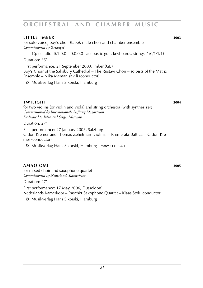#### **little imber 2003**

for solo voice, boy's choir (tape), male choir and chamber ensemble *Commissioned by 'Artangel'*

1(picc, alto fl).1.0.0 – 0.0.0.0 –accoustic guit. keyboards. strings (1/0/1/1/1)

Duration: 35'

First performance: 21 September 2003, Imber (GB) Boy's Choir of the Salisbury Cathedral – The Rustavi Choir – soloists of the Matrix Ensemble – Nika Memanishvili (conductor)

© Musikverlag Hans Sikorski, Hamburg

#### **twilight 2004**

for two violins (or violin and viola) and string orchestra (with synthesizer) *Commissioned by Internationale Stiftung Mozarteum Dedicated to Julia and Sergei Mironov*

Duration: 27'

First performance: 27 January 2005, Salzburg Gidon Kremer and Thomas Zehetmair (violins) – Kremerata Baltica – Gidon Kremer (conductor)

© Musikverlag Hans Sikorski, Hamburg · *score:* **s i k 8561**

#### **amao Omi 2005**

for mixed choir and saxophone quartet *Commissioned by Nederlands Kamerkoor*

Duration: 27'

First performance: 17 May 2006, Düsseldorf Nederlands Kamerkoor – Raschèr Saxophone Quartet – Klaas Stok (conductor)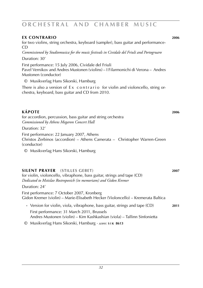#### **ex contrario 2006**

for two violins, string orchestra, keyboard (sampler), bass guitar and performance-CD

*Commissioned by Studiomusica for the music festivals in Cividale del Friuli and Portogruaro* Duration: 30'

First performance: 15 July 2006, Cividale del Friuli

Pavel Vernikov and Andres Mustonen (violins) – I Filarmonichi di Verona – Andres Mustonen (conductor)

© Musikverlag Hans Sikorski, Hamburg

There is also a version of  $Ex$  contrario for violin and violoncello, string orchestra, keyboard, bass guitar and CD from 2010.

**kÁpote 2006** for accordion, percussion, bass guitar and string orchestra *Commissioned by Athens Megaron Concert Hall*

Duration: 32'

First performance: 22 January 2007, Athens Christos Zerbinos (accordion) – Athens Camerata – Christopher Warren-Green (conductor)

© Musikverlag Hans Sikorski, Hamburg

### **silent prayer** (stilles gebet) **2007**

for violin, violoncello, vibraphone, bass guitar, strings and tape (CD) *Dedicated to Mstislav Rostropovich (in memoriam) and Gidon Kremer*

Duration: 24'

First performance: 7 October 2007, Kronberg Gidon Kremer (violin) – Marie-Elisabeth Hecker (Violoncello) – Kremerata Baltica

- **·** Version for violin, viola, vibraphone, bass guitar, strings and tape (CD) **2011** First performance: 31 March 2011, Brussels Andres Mustonen (violin) – Kim Kashkashian (viola) – Tallinn Sinfonietta
- © Musikverlag Hans Sikorski, Hamburg · *score:* **s i k 8613**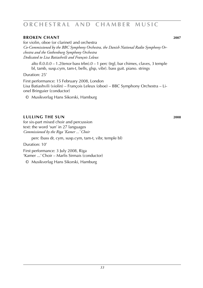#### **broken chant 2007**

for violin, oboe (or clarinet) and orchestra *Co-Commissioned by the BBC Symphony Orchestra, the Danish National Radio Symphony Orchestra and the Gothenburg Symphony Orchestra Dedicated to Lisa Batiashvili and François Leleux*

alto fl.0.0.0 – 1.2(tenor bass trbn).0 – 1 perc (trgl, bar chimes, claves, 3 temple bl, tamb, susp.cym, tam-t, bells, glsp, vibr). bass guit. piano. strings

Duration: 25'

First performance: 15 February 2008, London Lisa Batiashvili (violin) – François Leleux (oboe) – BBC Symphony Orchestra – Lionel Bringuier (conductor)

© Musikverlag Hans Sikorski, Hamburg

#### **lulling the sun 2008**

for six-part mixed choir and percussion text: the word 'sun' in 27 languages *Commissioned by the Riga 'Kamer ...' Choir*

perc (bass dr, cym, susp.cym, tam-t, vibr, temple bl)

Duration: 10'

First performance: 3 July 2008, Riga

'Kamer ...' Choir – Marlis Sirmais (conductor)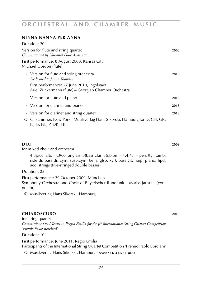#### **ninna nanna per anna**

| Duration: 20'                                                                                                                                                                  |      |
|--------------------------------------------------------------------------------------------------------------------------------------------------------------------------------|------|
| Version for flute and string quartet<br>Commissioned by National Flute Association                                                                                             | 2008 |
| First performance: 8 August 2008, Kansas City<br>Michael Gordon (flute)                                                                                                        |      |
| • Version for flute and string orchestra<br>Dedicated to Janne Thomsen<br>First performance: 27 June 2010, Ingolstadt<br>Ariel Zuckermann (flute) – Georgian Chamber Orchestra | 2010 |
| • Version for flute and piano                                                                                                                                                  | 2018 |
| • Version for clarinet and piano                                                                                                                                               | 2018 |
| • Version for clarinet and string quartet<br>G. Schirmer, New York · Musikverlag Hans Sikorski, Hamburg for D, CH, GR,<br>O<br>IL, IS, NL, P, DK, TR                           | 2018 |

#### **dixi 2009 dixi 2009 dixi 2009 dixi 2009**

for mixed choir and orchestra 4(3picc, alto fl).3(cor anglais).3(bass clar).3(db bn)  $-4.4.4.1$  – perc (tgl, tamb, side dr, bass dr, cym, susp.cym, bells, glsp, xyl). bass git. harp. piano. hpd. acc. strings (five-stringed double basses) Duration: 23'

First performance: 29 October 2009, München

Symphony Orchestra and Choir of Bayerischer Rundfunk – Mariss Jansons (conductor)

© Musikverlag Hans Sikorski, Hamburg

#### **chiaroscuro 2010**

for string quartet *Commissioned by I Teatri in Reggio Emilia for the* 9th *International String Quartet Competition 'Premio Paolo Borciani'*

Duration: 10'

First performance: June 2011, Regio Emilia Participants of the International String Quartet Competition 'Premio Paolo Borciani'

© Musikverlag Hans Sikorski, Hamburg · *score:* **s i k o r s k i 8688**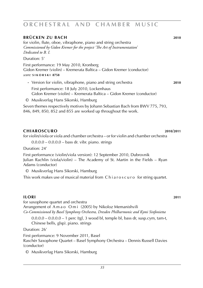#### **brücken zu bach 2010**

for violin, flute, oboe, vibraphone, piano and string orchestra *Commissioned by Gidon Kremer for the project 'The Art of Instrumentation' Dedicated to B. I.*

Duration: 5'

 First performance: 19 May 2010, Kronberg Gidon Kremer (violin) – Kremerata Baltica – Gidon Kremer (conductor) *score:* **s i k o r s k i 8758**

**·** Version for violin, vibraphone, piano and string orchestra **2010**

 First performance: 18 July 2010, Lockenhaus Gidon Kremer (violin) – Kremerata Baltica – Gidon Kremer (conductor)

© Musikverlag Hans Sikorski, Hamburg

Seven themes respectively motives by Johann Sebastian Bach from BWV 775, 793, 846, 849, 850, 852 and 855 are worked up throughout the work.

#### **chiaroscuro 2010**/**2011**

for violin/viola or viola and chamber orchestra – or for violin and chamber orchestra

0.0.0.0 – 0.0.0.0 – bass dr. vibr. piano. strings

Duration: 24'

First performance (violin/viola version): 12 September 2010, Dubrovnik Julian Rachlin (viola/violin) – The Academy of St. Martin in the Fields – Ryan Adams (conductor)

© Musikverlag Hans Sikorski, Hamburg

This work makes use of musical material from C h i a r o s c u r o for string quartet.

#### **Ilori 2011**

for saxophone quartet and orchestra Arrangement of A m a o O m i (2005) by Nikoloz Memanishvili *Co-Commissioned by Basel Symphony Orchestra, Dresden Philharmonic and Kymi Sinfonietta*

 $0.0.0.0 - 0.0.0.0 - 1$  perc (tgl, 3 wood bl, temple bl, bass dr, susp.cym, tam-t, Chinese bells, glsp). piano. strings

Duration: 26'

First performance: 9 November 2011, Basel Raschèr Saxophone Quartet – Basel Symphony Orchestra – Dennis Russell Davies (conductor)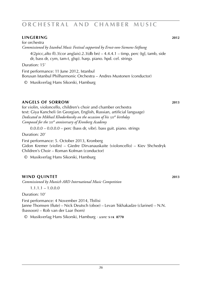#### **lingering 2012**

for orchestra *Commissioned by Istanbul Music Festival supported by Ernst-von-Siemens-Stiftung*

 $4(2picc,alto\ fl).3(cor\ anglais).2.3(db\ bn) - 4.4.4.1 - timp, perc (tgl, tamb, side$ dr, bass dr, cym, tam-t, glsp). harp. piano. hpd. cel. strings

Duration: 15'

First performance: 11 June 2012, Istanbul Borusan Istanbul Philharmonic Orchestra – Andres Mustonen (conductor)

© Musikverlag Hans Sikorski, Hamburg

#### **Angels of sorrow 2013**

for violin, violoncello, children's choir and chamber orchestra text: Giya Kancheli (in Georgian, English, Russian, artificial language) *Dedicated to Mikhail Khodorkovsky on the occasion of his* 50*th birthday Composed for the* 20*th anniversary of Kronberg Academy*

 $0.0.0.0 - 0.0.0.0 -$  perc (bass dr, vibr), bass guit, piano, strings

Duration: 20'

First performance: 5. October 2013, Kronberg Gidon Kremer (violin) – Giedre Dirvanauskaite (violoncello) – Kiev Shchedryk Children's Choir – Roman Kofman (conductor)

© Musikverlag Hans Sikorski, Hamburg

#### **wind quintet 2013**

*Commissioned by Munich ARD International Music Competition*

 $1.1.1.1 - 1.0.0.0$ 

Duration: 10'

First performance: 4 November 2014, Tbilisi Janne Thomsen (flute) – Nick Deutsch (oboe) – Levan Tskhakadze (clarinet) – N.N. (bassoon) – Rob van der Laar (horn)

© Musikverlag Hans Sikorski, Hamburg · *score:* **s i k 8770**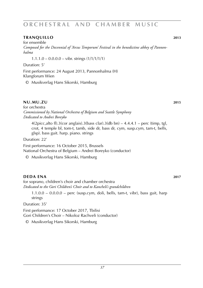#### **tranquillo 2013**

for ensemble *Composed for the Decennial of 'Arcus Temporum' Festival in the benedictine abbey of Pannonhalma*

 $1.1.1.0 - 0.0.0.0 -$  vibr. strings  $(1/1/1/1/1)$ 

Duration: 5'

First performance: 24 August 2013, Pannonhalma (H) Klangforum Wien

© Musikverlag Hans Sikorski, Hamburg

#### **nu.mu.zu 2015**

for orchestra *Commissioned by National Orchestra of Belgium and Seattle Symphony Dedicated to Andrei Boreyko*

 $4(2picc,alto\ fl).3(cor\ anglais).3(bass\ clar).3(db\ bn) - 4.4.4.1 - perc\ (time, tg).$ crot, 4 temple bl, tom-t, tamb, side dr, bass dr, cym, susp.cym, tam-t, bells, glsp). bass guit. harp. piano. strings

Duration: 22'

First performance: 16 October 2015, Brussels National Orchestra of Belgium – Andrei Boreyko (conductor)

© Musikverlag Hans Sikorski, Hamburg

### **DEDA ENA** 2017

for soprano, children's choir and chamber orchestra *Dedicated to the Gori Children's Choir and to Kancheli's grandchildren*

 $1.1.0.0 - 0.0.0.0 -$  perc (susp.cym, doli, bells, tam-t, vibr), bass guit, harp strings

Duration: 35'

First performance: 17 October 2017, Tbilisi Gori Children's Choir – Nikoloz Rachveli (conductor)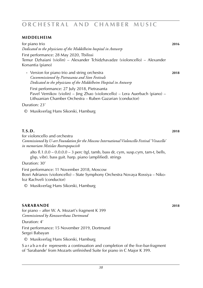#### **middelheim**

for piano trio **2016** *Dedicated to the physicians of the Middelheim hospital in Antwerp* First performance: 28 May 2020, Tbilissi Temur Dzhaiani (violin) – Alexander Tchidzhavadze (violoncello) – Alexander Korsantia (piano)

**·** Version for piano trio and string orchestra **2018** *Cocommissioned by Pietrasanta and Sion Festivals Dedicated to the physicians of the Middelheim Hospital in Antwerp*

 First performance: 27 July 2018, Pietrasanta Pavel Vernikov (violin) – Jing Zhao (violoncello) – Lera Auerbach (piano) – Lithuanian Chamber Orchestra – Ruben Gazarian (conductor)

Duration: 23'

© Musikverlag Hans Sikorski, Hamburg

### **T.S.D. 2018**

for violoncello and orchestra *Commissioned by U-art Foundation for the Moscow International Violoncello Festival 'Vivacello' in memoriam Mstislav Rostropopocivh*

alto fl.1.0.0 – 0.0.0.0 – 3 perc (tgl, tamb, bass dr, cym, susp.cym, tam-t, bells, glsp, vibr). bass guit. harp. piano (amplified). strings

Duration: 30'

First performance: 11 November 2018, Moscow Bosri Adrianov (violoncello) – State Symphony Orchestra Novaya Rossiya – Nikoloz Rachveli (conductor)

© Musikverlag Hans Sikorski, Hamburg

#### **sarabande 2018**

for piano – after W. A. Mozart's fragment K 399 *Commissioned by Konzwerthaus Dortmund*

Duration: 4'

First performance: 15 November 2019, Dortmund Sergei Babayan

© Musikverlag Hans Sikorski, Hamburg

S a r a b a n d e represents a continuation and completion of the five-bar-fragment of 'Sarabande' from Mozarts unfinished Suite for piano in C Major K 399.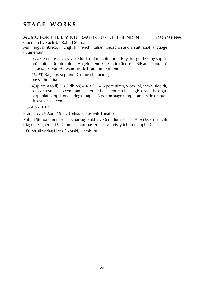### **s t a g e w o r k s**

**MUSIC FOR THE LIVING** (MUSIK FÜR DIE LEBENDEN) **1982**-**1984**/**1999**

Opera in two acts by Robert Sturua

Multilingual libretto in English, French, Italian, Georgian and an artificial language ('Sumerian')

 $DRAMATIS, PERSONAE: Blind, old man (tensor) - Box, his guide (bov sopra-  
1992)$ no) – officer (mute role) – Angelo (tenor) – Sandro (tenor) – Silvana (soprano) – Lucia (soprano) – Marquis de Prudhon (baritone)

2S, 3T, Bar, boy soprano, 2 mute characters, boys' choir, ballet

4(3picc, alto fl).3.3.3(db bn) – 4.3.3.1 – 8 perc (timp, wood bl, tamb, side dr, bass dr, cym, susp cym, tam-t, tubular bells, church bells, glsp, xyl). bass gtr. harp. piano. hpd. org. strings – tape – 3 per on stage (timp, tom-t, side dr, bass dr, cym, susp cym)

Duration: 100'

Premiere: 28 April 1984, Tbilisi, Paliashvili Theatre

Robert Sturua (director) – Dzhansug Kakhidze (conductor) – G. Alexi Meskhishvili (stage designer) – D. Dumins (choirmaster) – Y. Zaretsky (choreographer)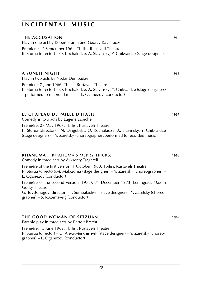#### **THE ACCUSATION 1964**

Play in one act by Robert Sturua and Georgy Kavtaradze Première: 12 September 1964, Tbilisi, Rustaveli Theatre R. Sturua (director) – O. Kochakidze, A. Slavinsky, Y. Chikvaidze (stage designers)

### **A SUNLIT NIGHT 1966**

Play in two acts by Nodar Dumbadze Première: 7 June 1966, Tbilisi, Rustaveli Theatre R. Sturua (director) – O. Kochakidze, A. Slavinsky, Y. Chikvaidze (stage designers) – performed to recorded music – L. Oganezov (conductor)

#### **LE CHAPEAU DE PAILLE D'ITALIE 1967**

Comedy in two acts by Eugène Labiche

Première: 27 May 1967, Tbilisi, Rustaveli Theatre R. Sturua (director) – N. Dvigubsky, O. Kochakidze, A. Slavinsky, Y. Chikvaidze (stage designers) – Y. Zaretsky (choreographer)/performed to recorded music

#### **KHANUMA** (KHANUMA'S MERRY TRICKS) **1968**

Comedy in three acts by Avksenty Tsagareli Première of the first version: 1 October 1968, Tbilisi, Rustaveli Theatre R. Sturua (director)/M. Malazonia (stage designer) – Y. Zaretsky (choreographer) – L. Oganezov (conductor) Première of the second version (1973): 31 December 1973, Leningrad, Maxim Gorky Theatre G. Tovstonogov (director) – I. Sumbatashvili (stage designer) – Y. Zaretsky (choreographer) – S. Rozentsveig (conductor)

### **THE GOOD WOMAN OF SETZUAN 1969**

Parable play in three acts by Bertolt Brecht Première: 15 June 1969, Tbilisi, Rustaveli Theatre R. Sturua (director) – G. Alexi-Meskhishvili (stage designer) – Y. Zaretsky (choreographer) – L. Oganezov (conductor)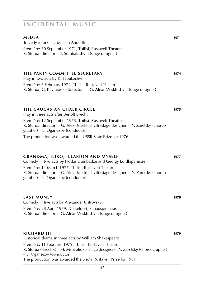## **MEDEA 1971** Tragedy in one act by Jean Anouilh Première: 30 September 1971, Tbilisi, Rustaveli Theatre R. Sturua (director) – I. Sumbatashvili (stage designer) **THE PARTY COMMITTEE SECRETARY 1974** Play in two acts by R. Tabukashvili Première: 6 February 1974, Tbilisi, Rustaveli Theatre R. Sturua, G. Kavtaradze (directors) – G. Alexi-Meskhishvili (stage designer) **THE CAUCASIAN CHALK CIRCLE 1975** Play in three acts after Bertolt Brecht Première: 12 September 1975, Tbilisi, Rustaveli Theatre R. Sturua (director) – G. Alexi-Meskhishvili (stage designer) – Y. Zaretsky (choreographer) – L. Oganezov (conductor) The production was awarded the USSR State Prize for 1976 **GRANDMA, ILIKO, ILLARION AND MYSELF 1977** Comedy in two acts by Nodar Dumbadze and Georgy Lordkipanidze Première: 14 March 1977, Tbilisi, Rustaveli Theatre R. Sturua (director) – G. Alexi-Meskhishvili (stage designer) – Y. Zaretsky (choreographer) – L. Oganezov (conductor)

| <b>EASY MONEY</b>                                                                                                    | 1978 |
|----------------------------------------------------------------------------------------------------------------------|------|
| Comedy in five acts by Alexander Ostrovsky                                                                           |      |
| Première: 28 April 1979, Düsseldorf, Schauspielhaus<br>R. Sturua (director) – G. Alexi-Meskhishvili (stage designer) |      |
| <b>RICHARD III</b><br>Historical drama in three acts by William Shakespeare                                          | 1979 |
| Dramises, 11 February 1070, Thilisi, Ductouali Theorro                                                               |      |

Première: 11 February 1979, Tbilisi, Rustaveli Theatre R. Sturua (director) – M. Mshvelidze (stage designer) – Y. Zaretsky (choreographer) – L. Oganezov (conductor) The production was awarded the Shota Rustaveli Prize for 1981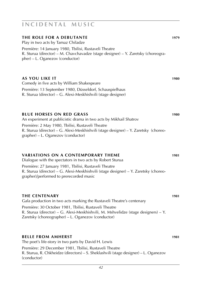#### **THE ROLE FOR A DEBUTANTE 1979**

Play in two acts by Tamaz Chiladze Première: 14 January 1980, Tbilisi, Rustaveli Theatre R. Sturua (director) – M. Chavchavadze (stage designer) – Y. Zaretsky (choreographer) – L. Oganezov (conductor)

#### **AS YOU LIKE IT 1980**

Comedy in five acts by William Shakespeare

Première: 13 September 1980, Düsseldorf, Schauspielhaus R. Sturua (director) – G. Alexi-Meskhishvili (stage designer)

#### **BLUE HORSES ON RED GRASS 1980**

An experiment at publicistic drama in two acts by Mikhail Shatrov Première: 2 May 1980, Tbilisi, Rustaveli Theatre R. Sturua (director) – G. Alexi-Meskhishvili (stage designer) – Y. Zaretsky (choreographer) – L. Oganezov (conductor)

#### **VARIATIONS ON A CONTEMPORARY THEME 1981**

Dialogue with the spectators in two acts by Robert Sturua Première: 27 January 1981, Tbilisi, Rustaveli Theatre R. Sturua (director) – G. Alexi-Meskhishvili (stage designer) – Y. Zaretsky (choreographer)/performed to prerecorded music

#### **THE CENTENARY 1981**

Gala production in two acts marking the Rustaveli Theatre's centenary Première: 30 October 1981, Tbilisi, Rustaveli Theatre R. Sturua (director) – G. Alexi-Meskhishvili, M. Mshvelidze (stage designers) – Y. Zaretsky (choreographer) – L. Oganezov (conductor)

#### **BELLE FROM AMHERST 1981**

The poet's life-story in two parts by David H. Lewis Première: 29 December 1981, Tbilisi, Rustaveli Theatre R. Sturua, R. Chkheidze (directors) – S. Sheklashvili (stage designer) – L. Oganezov (conductor)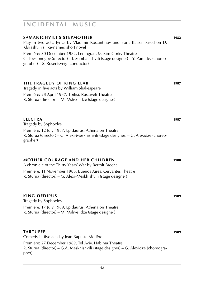# R. Sturua (director) – M. Mshvelidze (stage designer)

Première: 28 April 1987, Tbilisi, Rustaveli Theatre

**ELECTRA 1987** Tragedy by Sophocles Première: 12 July 1987, Epidaurus, Athenaion Theatre

R. Sturua (director) – G. Alexi-Meskhishvili (stage designer) – G. Alexidze (choreographer)

#### **MOTHER COURAGE AND HER CHILDREN 1988**

A chronicle of the Thirty Years' War by Bertolt Brecht Premiere: 11 November 1988, Buenos Aires, Cervantes Theatre R. Sturua (director) – G. Alexi-Meskhishvili (stage designer)

#### **KING OEDIPUS 1989**

Tragedy by Sophocles Première: 17 July 1989, Epidaurus, Athenaion Theatre R. Sturua (director) – M. Mshvelidze (stage designer)

#### **TARTUFFE 1989**

Comedy in five acts by Jean Baptiste Molière Première: 27 December 1989, Tel Aviv, Habima Theatre R. Sturua (director) – G.A. Meskhishvili (stage designer) – G. Alexidze (choreographer)

### **i n c i d e n t a l m u s i c**

Play in two acts, lyrics by Vladimir Kostantinov and Boris Ratser based on D. Kldiashvili's like-named short novel Première: 30 December 1982, Leningrad, Maxim Gorky Theatre G. Tovstonogov (director) – I. Sumbatashvili (stage designer) – Y. Zaretsky (choreographer) – S. Rosentsveig (conductor) **THE TRAGEDY OF KING LEAR 1987** Tragedy in five acts by William Shakespeare

**SAMANICHVILI'S STEPMOTHER 1982**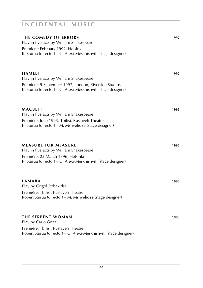| THE COMEDY OF ERRORS<br>Play in five acts by William Shakespeare<br>Première: February 1992, Helsinki<br>R. Sturua (director) – G. Alexi-Meskhishvili (stage designer)              | 1992 |
|-------------------------------------------------------------------------------------------------------------------------------------------------------------------------------------|------|
| <b>HAMLET</b><br>Play in five acts by William Shakespeare<br>Première: 9 September 1992, London, Riverside Studios<br>R. Sturua (director) – G. Alexi-Meskhishvili (stage designer) | 1992 |
| <b>MACBETH</b><br>Play in five acts by William Shakespeare<br>Première: June 1995, Tbilisi, Rustaveli Theatre<br>R. Sturua (director) – M. Mshvelidze (stage designer)              | 1995 |
| <b>MEASURE FOR MEASURE</b><br>Play in five acts by William Shakespeare<br>Première: 23 March 1996, Helsinki<br>R. Sturua (director) - G. Alexi-Meskhishvili (stage designer)        | 1996 |
| <b>LAMARA</b><br>Play by Grigol Robakidse<br>Première: Tbilisi, Rustaveli Theatre<br>Robert Sturua (director) – M. Mshvelidze (stage designer)                                      | 1996 |
| <b>THE SERPENT WOMAN</b><br>Play by Carlo Gozzi<br>Première: Tbilisi, Rustaveli Theatre<br>Robert Sturua (director) - G. Alexi-Meskhishvili (stage designer)                        | 1998 |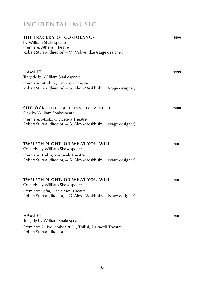| <b>THE TRAGEDY OF CORIOLANUS</b><br>by William Shakespeare<br>Première: Athens, Theatre<br>Robert Sturua (director) - M. Mshvelidze (stage designer)                              | 1999 |
|-----------------------------------------------------------------------------------------------------------------------------------------------------------------------------------|------|
| <b>HAMLET</b><br>Tragedy by William Shakespeare<br>Première: Moskow, Satirikon Theatre<br>Robert Sturua (director) – G. Alexi-Meskhishvili (stage designer)                       | 1999 |
| <b>SHYLOCK</b> (THE MERCHANT OF VENICE)<br>Play by William Shakespeare<br>Première: Moskow, Etcetera Theatre<br>Robert Sturua (director) - G. Alexi-Meskhishvili (stage designer) | 2000 |
| TWELFTH NIGHT, OR WHAT YOU WILL<br>Comedy by William Shakespeare<br>Première: Tbilisi, Rustaveli Theatre<br>Robert Sturua (director) - G. Alexi-Meskhishvili (stage designer)     | 2001 |
| TWELFTH NIGHT, OR WHAT YOU WILL<br>Comedy by William Shakespeare<br>Première: Sofia, Ivan Vasov Theatre<br>Robert Sturua (director) - G. Alexi-Meskhishvili (stage designer)      | 2001 |
| HAMLET<br>Tragedy by William Shakespeare<br>Première: 21 November 2001, Tbilisi, Rustaveli Theatre<br>Robert Sturua (director)                                                    | 2001 |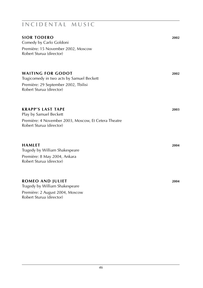| <b>SIOR TODERO</b><br>Comedy by Carlo Goldoni<br>Première: 15 November 2002, Moscow<br>Robert Sturua (director)                           | 2002 |
|-------------------------------------------------------------------------------------------------------------------------------------------|------|
| <b>WAITING FOR GODOT</b><br>Tragicomedy in two acts by Samuel Beckett<br>Première: 29 September 2002, Tbilisi<br>Robert Sturua (director) | 2002 |
| <b>KRAPP'S LAST TAPE</b><br>Play by Samuel Beckett<br>Première: 4 November 2003, Moscow, Et Cetera Theatre<br>Robert Sturua (director)    | 2003 |
| <b>HAMLET</b><br>Tragedy by William Shakespeare<br>Première: 8 May 2004, Ankara<br>Robert Sturua (director)                               | 2004 |
| <b>ROMEO AND JULIET</b><br>Tragedy by William Shakespeare<br>Première: 2 August 2004, Moscow<br>Robert Sturua (director)                  | 2004 |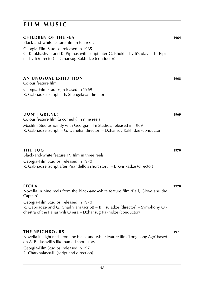### **FILM MUSIC**

| <b>CHILDREN OF THE SEA</b><br>Black-and-white feature film in ten reels<br>Georgia-Film Studios, released in 1965<br>G. Khukhashvili and K. Pipinashvili (script after G. Khukhashvili's play) - K. Pipi-<br>nashvili (director) - Dzhansug Kakhidze (conductor)                                              | 1964 |
|---------------------------------------------------------------------------------------------------------------------------------------------------------------------------------------------------------------------------------------------------------------------------------------------------------------|------|
| AN UNUSUAL EXHIBITION<br>Colour feature film<br>Georgia-Film Studios, released in 1969<br>R. Gabriadze (script) - E. Shengelaya (director)                                                                                                                                                                    | 1968 |
| <b>DON'T GRIEVE!</b><br>Colour feature film (a comedy) in nine reels<br>Mosfilm Studios jointly with Georgia-Film Studios, released in 1969<br>R. Gabriadze (script) - G. Danelia (director) - Dzhansug Kakhidze (conductor)                                                                                  | 1969 |
| <b>THE JUG</b><br>Black-and-white feature TV film in three reels<br>Georgia-Film Studios, released in 1970<br>R. Gabriadze (script after Pirandello's short story) - I. Kvirikadze (director)                                                                                                                 | 1970 |
| <b>FEOLA</b><br>Novella in nine reels from the black-and-white feature film 'Ball, Glove and the<br>Captain'<br>Georgia-Film Studios, released in 1970<br>R. Gabriadze and G. Charkviani (script) - B. Tsuladze (director) - Symphony Or-<br>chestra of the Paliashvili Opera - Dzhansug Kakhidze (conductor) | 1970 |
| <b>THE NEIGHBOURS</b><br>Novella in eight reels from the black-and-white feature film 'Long Long Ago' based<br>on A. Baliashvili's like-named short story<br>Georgia-Film Studios, released in 1971<br>R. Charkhalashvili (script and direction)                                                              | 1971 |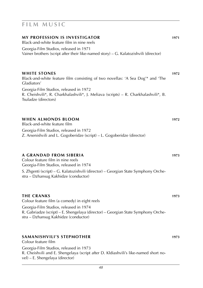| <b>MY PROFESSION IS INVESTIGATOR</b><br>Black-and-white feature film in nine reels<br>Georgia-Film Studios, released in 1971<br>Vainer brothers (script after their like-named story) – G. Kalatozishvili (director)                 | 1971 |
|--------------------------------------------------------------------------------------------------------------------------------------------------------------------------------------------------------------------------------------|------|
| <b>WHITE STONES</b><br>Black-and-white feature film consisting of two novellas: 'A Sea Dog'* and 'The<br>Gladiators'                                                                                                                 | 1972 |
| Georgia-Film Studios, released in 1972<br>R. Cheishvili*, R. Charkhalashvili*, J. Meliava (scripts) – R. Charkhalashvili*, B.<br>Tsuladze (directors)                                                                                |      |
| <b>WHEN ALMONDS BLOOM</b><br>Black-and-white feature film<br>Georgia-Film Studios, released in 1972<br>Z. Arsenishvili and L. Gogoberidze (script) – L. Gogoberidze (director)                                                       | 1972 |
| A GRANDAD FROM SIBERIA<br>Colour feature film in nine reels<br>Georgia-Film Studios, released in 1974<br>S. Zhgenti (script) – G. Kalatozishvili (director) – Georgian State Symphony Orche-<br>stra - Dzhansug Kakhidze (conductor) | 1973 |

### **THE CRANKS 1973**

Colour feature film (a comedy) in eight reels Georgia-Film Studios, released in 1974 R. Gabriadze (script) – E. Shengelaya (director) – Georgian State Symphony Orchestra – Dzhansug Kakhidze (conductor)

#### **SAMANISHVILI'S STEPMOTHER 1973** Colour feature film

Georgia-Film Studios, released in 1973 R. Cheishvili and E. Shengelaya (script after D. Kldiashvili's like-named short novel) – E. Shengelaya (director)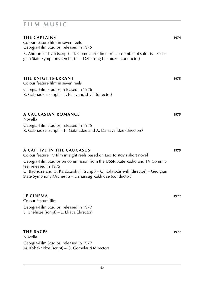| <b>THE CAPTAINS</b><br>Colour feature film in seven reels<br>Georgia-Film Studios, released in 1975<br>B. Andronikashvili (script) – T. Gomelauri (director) – ensemble of soloists – Geor-<br>gian State Symphony Orchestra - Dzhansug Kakhidze (conductor)                                                                                                      | 1974 |
|-------------------------------------------------------------------------------------------------------------------------------------------------------------------------------------------------------------------------------------------------------------------------------------------------------------------------------------------------------------------|------|
| <b>THE KNIGHTS-ERRANT</b><br>Colour feature film in seven reels<br>Georgia-Film Studios, released in 1976<br>R. Gabriadze (script) – T. Palavandishvili (director)                                                                                                                                                                                                | 1975 |
| A CAUCASIAN ROMANCE<br>Novella<br>Georgia-Film Studios, released in 1975<br>R. Gabriadze (script) – R. Gabriadze and A. Darsavelidze (directors)                                                                                                                                                                                                                  | 1975 |
| A CAPTIVE IN THE CAUCASUS<br>Colour feature TV film in eight reels based on Leo Tolstoy's short novel<br>Georgia-Film Studios on commission from the USSR State Radio and TV Commit-<br>tee, released in 1975<br>G. Badridze and G. Kalatozishvili (script) – G. Kalatozishvili (director) – Georgian<br>State Symphony Orchestra - Dzhansug Kakhidze (conductor) | 1975 |
| <b>LE CINEMA</b><br>Colour feature film<br>Georgia-Film Studios, released in 1977<br>L. Chelidze (script) – L. Eliava (director)                                                                                                                                                                                                                                  | 1977 |
| <b>THE RACES</b><br>Novella                                                                                                                                                                                                                                                                                                                                       | 1977 |

Georgia-Film Studios, released in 1977

M. Kobakhidze (script) – G. Gomelauri (director)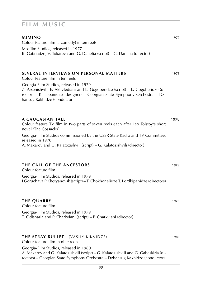#### **MIMINO 1977** Colour feature film (a comedy) in ten reels Mosfilm Studios, released in 1977 R. Gabriadze, V. Tokareva and G. Danelia (script) – G. Danelia (director)

### **SEVERAL INTERVIEWS ON PERSONAL MATTERS 1978**

Colour feature film in ten reels Georgia-Film Studios, released in 1979 Z. Arsenishvili, E. Akhvlediani and L. Gogoberidze (script) – L. Gogoberidze (director) – K. Lebanidze (designer) – Georgian State Symphony Orchestra – Dzhansug Kakhidze (conductor)

#### **A CAUCASIAN TALE 1978**

Colour feature TV film in two parts of seven reels each after Leo Tolstoy's short novel 'The Cossacks' Georgia-Film Studios commissioned by the USSR State Radio and TV Committee, released in 1978 A. Makarov and G. Kalatozishvili (script) – G. Kalatozishvili (director)

### **THE CALL OF THE ANCESTORS 1979**

Colour feature film Georgia-Film Studios, released in 1979 I Goruchava P Khotyanovsk (script) – T. Chokhonelidze T. Lordkipanidze (directors)

#### **THE QUARRY 1979** Colour feature film

Georgia-Film Studios, released in 1979 T. Odisharia and P. Charkviani (script) – P. Charkviani (director)

### **THE STRAY BULLET** (VASILY KIKVIDZE) **1980**

Colour feature film in nine reels

Georgia-Film Studios, released in 1980 A. Makarov and G. Kalatozishvili (script) – G. Kalatozishvili and G. Gabeskiria (directors) – Georgian State Symphony Orchestra – Dzhansug Kakhidze (conductor)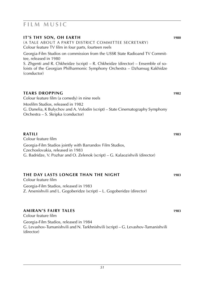### **FILM MUSIC**

(director)

| IT'S THY SON, OH EARTH<br>(A TALE ABOUT A PARTY DISTRICT COMMITTEE SECRETARY)<br>Colour feature TV film in four parts, fourteen reels                                                   | 1980 |
|-----------------------------------------------------------------------------------------------------------------------------------------------------------------------------------------|------|
| Georgia-Film Studios on commission from the USSR State Radioand TV Commit-<br>tee, released in 1980<br>S. Zhgenti and R. Chkheidze (script) - R. Chkheidze (director) - Ensemble of so- |      |
| loists of the Georgian Philharmonic Symphony Orchestra - Dzhansug Kakhidze<br>(conductor)                                                                                               |      |
| <b>TEARS DROPPING</b><br>Colour feature film (a comedy) in nine reels                                                                                                                   | 1982 |
| Mosfilm Studios, released in 1982<br>G. Danelia, K Bulychov and A. Volodin (script) – State Cinematography Symphony<br>Orchestra - S. Skripka (conductor)                               |      |
| <b>RATILI</b><br>Colour feature film                                                                                                                                                    | 1983 |
| Georgia-Film Studios jointly with Barrandov Film Studios,                                                                                                                               |      |
| Czechoslovakia, released in 1983<br>G. Badridze, V. Pozhar and O. Zelenok (script) - G. Kalaozishvili (director)                                                                        |      |
| THE DAY LASTS LONGER THAN THE NIGHT<br>Colour feature film                                                                                                                              | 1983 |
| Georgia-Film Studios, released in 1983<br>Z. Arsenishvili and L. Gogoberidze (script) - L. Gogoberidze (director)                                                                       |      |
| AMIRAN'S FAIRY TALES<br>Colour feature film                                                                                                                                             | 1983 |
| Georgia-Film Studios, released in 1984                                                                                                                                                  |      |

G. Levashov-Tumanishvili and N. Tarkhnishvili (script) – G. Levashov-Tumanishvili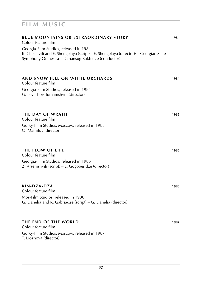| <b>BLUE MOUNTAINS OR EXTRAORDINARY STORY</b><br>Colour feature film                                                                                                                   | 1984 |
|---------------------------------------------------------------------------------------------------------------------------------------------------------------------------------------|------|
| Georgia-Film Studios, released in 1984<br>R. Cheishvili and E. Shengelaya (script) – E. Shengelaya (director)/ – Georgian State<br>Symphony Orchestra – Dzhansug Kakhidze (conductor) |      |
| AND SNOW FELL ON WHITE ORCHARDS<br>Colour feature film                                                                                                                                | 1984 |
| Georgia-Film Studios, released in 1984<br>G. Levashov-Tumanishvili (director)                                                                                                         |      |
| <b>THE DAY OF WRATH</b><br>Colour feature film                                                                                                                                        | 1985 |
| Gorky-Film Studios, Moscow, released in 1985<br>O. Mamilov (director)                                                                                                                 |      |
| <b>THE FLOW OF LIFE</b><br>Colour feature film                                                                                                                                        | 1986 |
| Georgia-Film Studios, released in 1986<br>Z. Arsenishvili (script) – L. Gogoberidze (director)                                                                                        |      |
| KIN-DZA-DZA<br>Colour feature film                                                                                                                                                    | 1986 |
| Mos-Film Studios, released in 1986<br>G. Danelia and R. Gabriadze (script) – G. Danelia (director)                                                                                    |      |
| THE END OF THE WORLD<br>Colour feature film                                                                                                                                           | 1987 |
| Gorky-Film Studios, Moscow, released in 1987<br>T. Lioznova (director)                                                                                                                |      |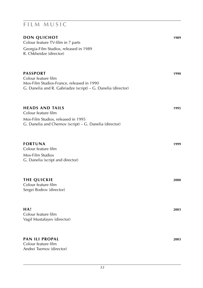| DON QUICHOT<br>Colour feature TV-film in 7 parts<br>Georgia-Film Studios, released in 1989<br>R. Chkheidze (director)                               | 1989 |
|-----------------------------------------------------------------------------------------------------------------------------------------------------|------|
| <b>PASSPORT</b><br>Colour feature film<br>Mos-Film Studios-France, released in 1990<br>G. Danelia and R. Gabriadze (script) - G. Danelia (director) | 1990 |
| <b>HEADS AND TAILS</b><br>Colour feature film<br>Mos-Film Studios, released in 1995<br>G. Danelia and Chernov (script) - G. Danelia (director)      | 1995 |
| <b>FORTUNA</b><br>Colour feature film<br>Mos-Film Studios<br>G. Danelia (script and director)                                                       | 1999 |
| <b>THE QUICKIE</b><br>Colour feature film<br>Sergei Bodrov (director)                                                                               | 2000 |
| HA!<br>Colour feature film<br>Vagif Mustafayev (director)                                                                                           | 2003 |
| <b>PAN ILI PROPAL</b><br>Colour feature film<br>Andrei Tsernov (director)                                                                           | 2003 |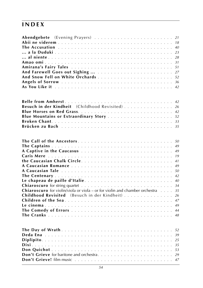| Amirana's Fairy Tales 51                                                                   |  |    |
|--------------------------------------------------------------------------------------------|--|----|
|                                                                                            |  |    |
|                                                                                            |  |    |
|                                                                                            |  |    |
|                                                                                            |  |    |
|                                                                                            |  |    |
|                                                                                            |  |    |
| <b>Belle from Amherst</b> 42                                                               |  |    |
| Besuch in der Kindheit (Childhood Revisited) 26                                            |  |    |
|                                                                                            |  |    |
| Blue Mountains or Extraordinary Story  52                                                  |  |    |
|                                                                                            |  |    |
|                                                                                            |  |    |
|                                                                                            |  |    |
|                                                                                            |  |    |
|                                                                                            |  |    |
|                                                                                            |  |    |
|                                                                                            |  |    |
|                                                                                            |  |    |
|                                                                                            |  |    |
|                                                                                            |  |    |
|                                                                                            |  | 42 |
|                                                                                            |  | 40 |
|                                                                                            |  |    |
| <b>Chiaroscuro</b> for violin/viola or viola – or for violin and chamber orchestra $\dots$ |  | 35 |
| Childhood Revisited (Besuch in der Kindheit) 26                                            |  |    |
|                                                                                            |  |    |
|                                                                                            |  |    |
|                                                                                            |  |    |
|                                                                                            |  |    |
|                                                                                            |  |    |
|                                                                                            |  |    |
|                                                                                            |  |    |
|                                                                                            |  |    |
|                                                                                            |  |    |
|                                                                                            |  |    |
|                                                                                            |  |    |
|                                                                                            |  |    |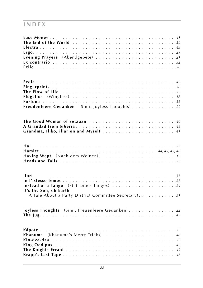| Freudenleere Gedanken (Simi. Joyless Thoughts) 22                     |  |
|-----------------------------------------------------------------------|--|
|                                                                       |  |
| A Grandad from Siberia 48                                             |  |
| Grandma, Iliko, illarion and Myself  41                               |  |
|                                                                       |  |
|                                                                       |  |
| Having Wept (Nach dem Weinen) 19                                      |  |
|                                                                       |  |
|                                                                       |  |
|                                                                       |  |
| Instead of a Tango (Statt eines Tangos)  24<br>It's thy Son, oh Earth |  |
| (A Tale About a Party District Committee Secretary). 51               |  |
| Joyless Thoughts (Simi. Freuenleere Gedanken). 22                     |  |
|                                                                       |  |
|                                                                       |  |
| Khanuma (Khanuma's Merry Tricks) 40                                   |  |
|                                                                       |  |
|                                                                       |  |
|                                                                       |  |
|                                                                       |  |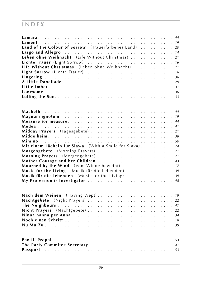| Land of the Colour of Sorrow (Trauerfarbenes Land). 20  |
|---------------------------------------------------------|
|                                                         |
| Leben ohne Weihnacht (Life Without Christmas) 21        |
| Lichte Trauer (Light Sorrow) 16                         |
| Life Without Chrtistmas (Leben ohne Weihnacht) 21       |
| Light Sorrow (Lichte Trauer) 16                         |
|                                                         |
|                                                         |
|                                                         |
|                                                         |
|                                                         |
|                                                         |
|                                                         |
|                                                         |
|                                                         |
|                                                         |
|                                                         |
|                                                         |
| Mit einem Lächeln für Slawa (With a Smile for Slava) 24 |
|                                                         |
|                                                         |
|                                                         |
| Mourned by the Wind (Vom Winde beweint). 17             |
| Music for the Living (Musik für die Lebenden). 39       |
| Musik für die Lebenden (Music for the Living). 39       |
| My Profession is Investigator  48                       |
|                                                         |
| Nach dem Weinen (Having Wept) 19                        |
|                                                         |
|                                                         |
|                                                         |
|                                                         |
|                                                         |
|                                                         |
|                                                         |
| The Party Commitee Secretary  41                        |
|                                                         |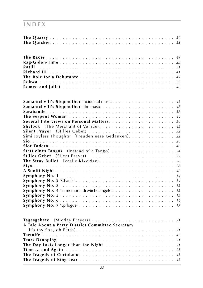|                                                   |  |  | 49 |
|---------------------------------------------------|--|--|----|
|                                                   |  |  | 23 |
|                                                   |  |  | 51 |
|                                                   |  |  | 41 |
| The Role for a Debutante                          |  |  | 42 |
|                                                   |  |  | 27 |
|                                                   |  |  | 46 |
|                                                   |  |  |    |
|                                                   |  |  | 43 |
|                                                   |  |  | 48 |
|                                                   |  |  | 38 |
|                                                   |  |  | 44 |
|                                                   |  |  | 50 |
|                                                   |  |  | 45 |
|                                                   |  |  | 32 |
| Simi Joyless Thoughts (Freudenleere Gedanken).    |  |  | 22 |
| Sio                                               |  |  | 26 |
|                                                   |  |  | 46 |
|                                                   |  |  | 24 |
|                                                   |  |  | 32 |
|                                                   |  |  | 50 |
|                                                   |  |  | 28 |
|                                                   |  |  | 40 |
|                                                   |  |  | 14 |
|                                                   |  |  | 14 |
|                                                   |  |  | 15 |
|                                                   |  |  | 15 |
|                                                   |  |  | 15 |
|                                                   |  |  | 16 |
|                                                   |  |  | 17 |
|                                                   |  |  |    |
|                                                   |  |  | 21 |
| A Tale About a Party District Committee Secretary |  |  |    |
|                                                   |  |  | 51 |
|                                                   |  |  | 43 |
|                                                   |  |  | 51 |
| The Day Lasts Longer than the Night               |  |  | 51 |
|                                                   |  |  | 25 |
|                                                   |  |  | 45 |
|                                                   |  |  | 43 |
|                                                   |  |  |    |